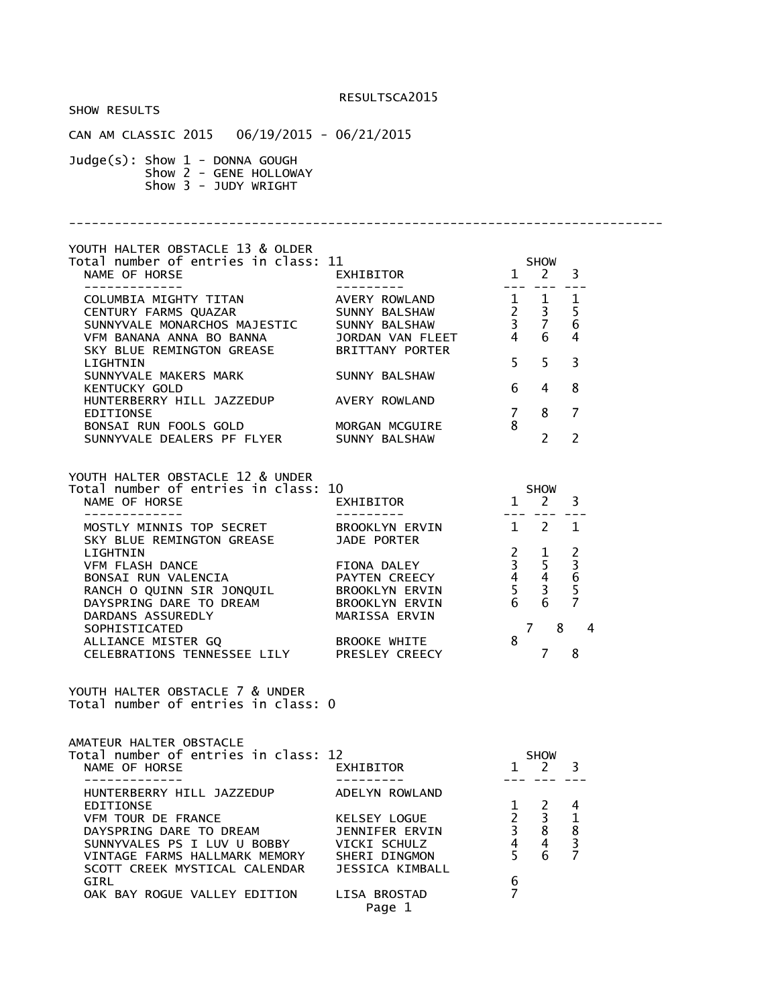SHOW RESULTS CAN AM CLASSIC 2015 06/19/2015 - 06/21/2015 Judge(s): Show 1 - DONNA GOUGH Show 2 - GENE HOLLOWAY Show 3 - JUDY WRIGHT ------------------------------------------------------------------------------ YOUTH HALTER OBSTACLE 13 & OLDER Total number of entries in class: 11 SHOW NAME OF HORSE **EXHIBITOR** 2 3 ------------- --------- --- --- --- COLUMBIA MIGHTY TITAN AVERY ROWLAND 1 1 1 CENTURY FARMS QUAZAR SUNNY BALSHAW 2 3 5 SUNNYVALE MONARCHOS MAJESTIC SUNNY BALSHAW 3 7 6 VFM BANANA ANNA BO BANNA JORDAN VAN FLEET<br>SKY BLUE REMINGTON GREASE BRITTANY PORTER SKY BLUE REMINGTON GREASE<br>LIGHTNIN LIGHTNIN 5 5 3 SUNNYVALE MAKERS MARK SUNNY BALSHAW KENTUCKY GOLD 6 4 8 HUNTERBERRY HILL JAZZEDUP EDITIONSE 7 8 7 BONSAI RUN FOOLS GOLD MORGAN MCGUIRE 8 SUNNYVALE DEALERS PF FLYER SUNNY BALSHAW 2 2 YOUTH HALTER OBSTACLE 12 & UNDER Total number of entries in class: 10 SHOW<br>NAME OF HORSE EXHIBITOR 1 2 NAME OF HORSE **EXHIBITOR** 1 2 3 ------------- --------- --- --- --- MOSTLY MINNIS TOP SECRET BROOKLYN ERVIN 1 2 1<br>SKY BLUE REMINGTON GREASE 3ADE PORTER SKY BLUE REMINGTON GREASE LIGHTNIN 2 1 2 VFM FLASH DANCE FIONA DALEY 3 5 3 BONSAI RUN VALENCIA PAYTEN CREECY 4 4 6 RANCH O QUINN SIR JONQUIL BROOKLYN ERVIN 5 3 5<br>DAYSPRING DARE TO DREAM BROOKLYN ERVIN 6 6 7 DAYSPRING DARE TO DREAM DARDANS ASSUREDLY MARISSA ERVIN SOPHISTICATED 7 8 4 ALLIANCE MISTER GQ CELEBRATIONS TENNESSEE LILY PRESLEY CREECY 7 8 YOUTH HALTER OBSTACLE 7 & UNDER Total number of entries in class: 0 AMATEUR HALTER OBSTACLE Total number of entries in class: 12 SHOW NAME OF HORSE **EXHIBITOR** 1 2 3 ------------- --------- --- --- --- HUNTERBERRY HILL JAZZEDUP ADELYN ROWLAND EDITIONSE 1 2 4 VFM TOUR DE FRANCE KELSEY LOGUE 2 3 1 DAYSPRING DARE TO DREAM JENNIFER ERVIN 3 8 8 SUNNYVALES PS I LUV U BOBBY VICKI SCHULZ 4 4 3 VINTAGE FARMS HALLMARK MEMORY SHERI DINGMON<br>SCOTT CREEK MYSTICAL CALENDAR JESSICA KIMBALL SCOTT CREEK MYSTICAL CALENDAR  $GIRL$  6 OAK BAY ROGUE VALLEY EDITION LISA BROSTAD 7 Page 1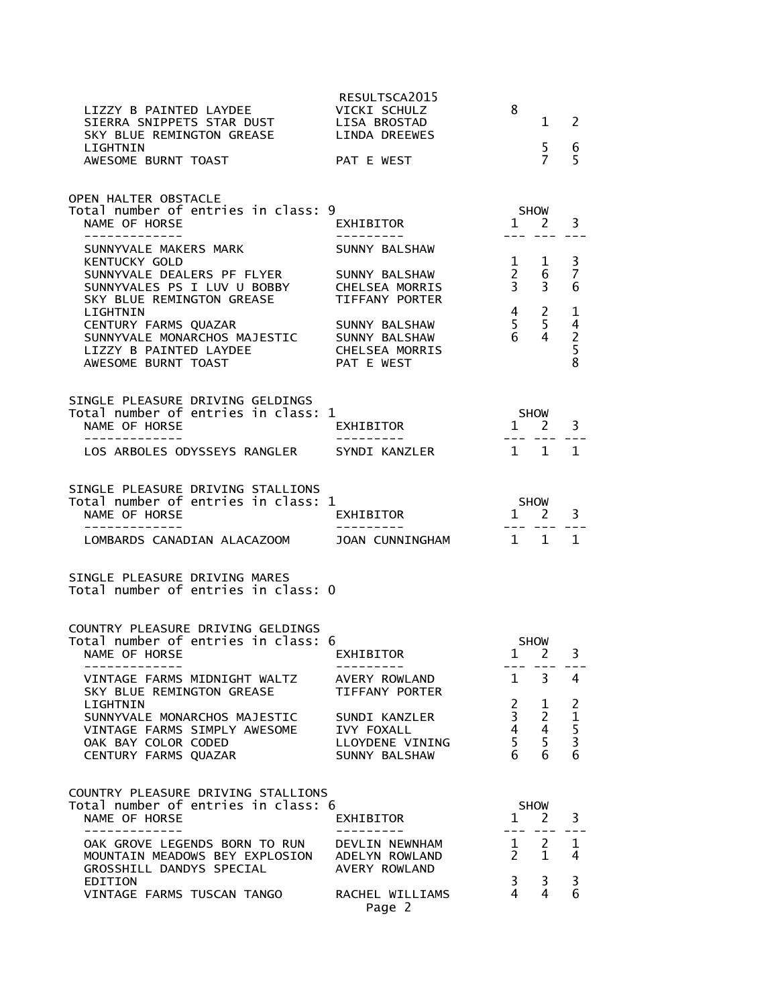| LIZZY B PAINTED LAYDEE<br>SIERRA SNIPPETS STAR DUST<br>SKY BLUE REMINGTON GREASE<br>LIGHTNIN<br>AWESOME BURNT TOAST                              | RESULTSCA2015<br>VICKI SCHULZ<br>LISA BROSTAD<br>LINDA DREEWES<br>PAT E WEST | 8                                                                          | 1.<br>5<br>$\overline{7}$   | 2<br>6<br>5                  |
|--------------------------------------------------------------------------------------------------------------------------------------------------|------------------------------------------------------------------------------|----------------------------------------------------------------------------|-----------------------------|------------------------------|
| OPEN HALTER OBSTACLE<br>Total number of entries in class: 9<br>NAME OF HORSE<br>-----------                                                      | EXHIBITOR                                                                    | $\mathbf{1}$                                                               | <b>SHOW</b><br><sup>2</sup> | 3                            |
| SUNNYVALE MAKERS MARK<br><b>KENTUCKY GOLD</b>                                                                                                    | SUNNY BALSHAW                                                                | $\mathbf{1}$                                                               | 1                           | 3                            |
| SUNNYVALE DEALERS PF FLYER<br>SUNNYVALES PS I LUV U BOBBY<br>SKY BLUE REMINGTON GREASE<br>LIGHTNIN                                               | SUNNY BALSHAW<br><b>CHELSEA MORRIS</b><br>TIFFANY PORTER                     | $\frac{2}{3}$<br>$\overline{4}$                                            | 6<br>3<br>$\overline{2}$    | $\overline{7}$<br>6<br>1     |
| CENTURY FARMS QUAZAR<br>SUNNYVALE MONARCHOS MAJESTIC<br>LIZZY B PAINTED LAYDEE<br>AWESOME BURNT TOAST                                            | SUNNY BALSHAW<br>SUNNY BALSHAW<br><b>CHELSEA MORRIS</b><br>PAT E WEST        | 5<br>6                                                                     | 5<br>4                      | $\frac{4}{2}$<br>8           |
| SINGLE PLEASURE DRIVING GELDINGS<br>Total number of entries in class: 1<br>NAME OF HORSE                                                         | EXHIBITOR                                                                    | $\mathbf{1}$                                                               | <b>SHOW</b><br>2            | 3                            |
| LOS ARBOLES ODYSSEYS RANGLER                                                                                                                     | SYNDI KANZLER                                                                | $\overline{1}$                                                             | $\overline{1}$              | 1                            |
| SINGLE PLEASURE DRIVING STALLIONS<br>Total number of entries in class: 1<br>NAME OF HORSE                                                        | EXHIBITOR                                                                    | $1 \quad$                                                                  | <b>SHOW</b><br>2            | 3                            |
| LOMBARDS CANADIAN ALACAZOOM                                                                                                                      | JOAN CUNNINGHAM                                                              | 1 1                                                                        |                             | $\mathbf{1}$                 |
| SINGLE PLEASURE DRIVING MARES<br>Total number of entries in class: 0                                                                             |                                                                              |                                                                            |                             |                              |
| COUNTRY PLEASURE DRIVING GELDINGS<br>Total number of entries in class: 6<br>NAME OF HORSE                                                        | EXHIBITOR                                                                    | $1 \quad$                                                                  | <b>SHOW</b><br>2            | 3                            |
| VINTAGE FARMS MIDNIGHT WALTZ AVERY ROWLAND<br>SKY BLUF REMINGTON GREASE TIFFANY PORTER                                                           |                                                                              |                                                                            | $1 \quad 3 \quad 4$         |                              |
| LIGHTNIN<br>SUNNYVALE MONARCHOS MAJESTIC SUNDI KANZLER<br>VINTAGE FARMS SIMPLY AWESOME IVY FOXALL<br>OAK BAY COLOR CODED<br>CENTURY FARMS QUAZAR | LLOYDENE VINING<br>SUNNY BALSHAW                                             | $\begin{array}{ccc} 2 & 1 \\ 3 & 2 \\ 4 & 4 \\ 5 & 5 \\ 6 & 6 \end{array}$ |                             | $\frac{2}{1}$<br>5<br>3<br>6 |
| COUNTRY PLEASURE DRIVING STALLIONS<br>Total number of entries in class: 6<br>NAME OF HORSE<br>-------------                                      | EXHIBITOR<br>----------                                                      | $1 \quad 2$                                                                | SHOW<br>--- ---             | 3                            |
| OAK GROVE LEGENDS BORN TO RUN DEVLIN NEWNHAM<br>MOUNTAIN MEADOWS BEY EXPLOSION ADELYN ROWLAND<br>GROSSHILL DANDYS SPECIAL                        | AVERY ROWLAND                                                                | $\frac{1}{2}$ $\frac{2}{1}$                                                | $1 \quad 2$                 | 1<br>4                       |
| EDITION<br>VINTAGE FARMS TUSCAN TANGO RACHEL WILLIAMS                                                                                            | Page 2                                                                       | $\begin{array}{ccc} 3 & 3 \\ 4 & 4 \end{array}$                            |                             | $\frac{3}{6}$                |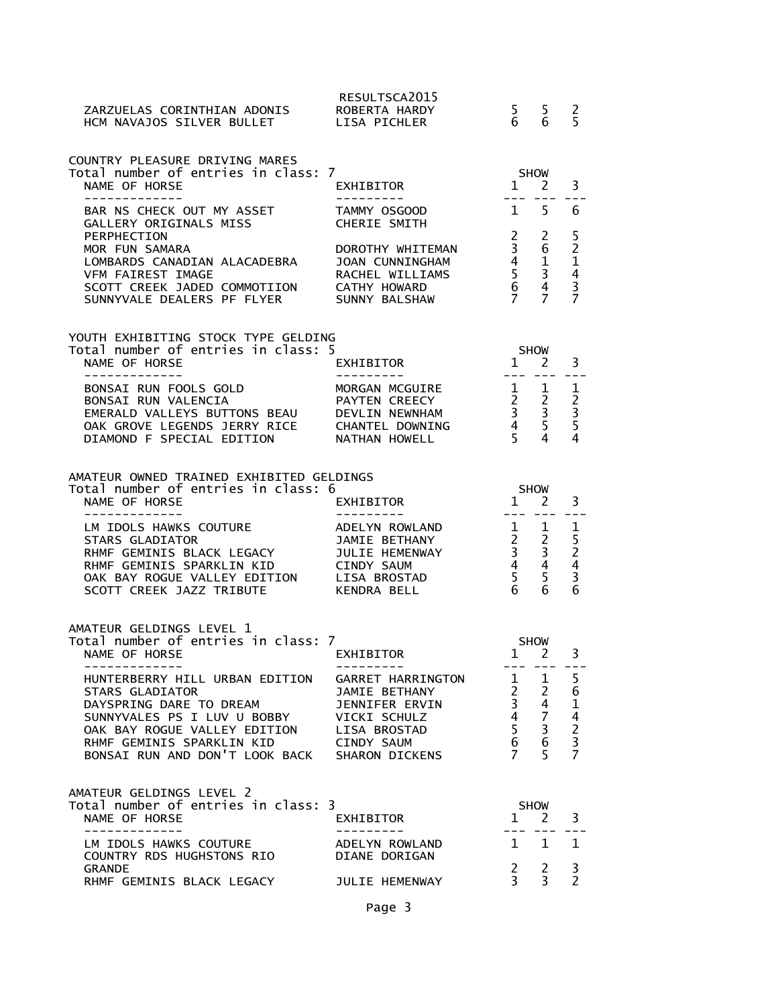| ZARZUELAS CORINTHIAN ADONIS ROBERTA HARDY<br>HCM NAVAJOS SILVER BULLET LISA PICHLER                                                                                                                                                                                                                                  | RESULTSCA2015                                                                                                                                                                                                       | $\begin{matrix}5&5\\6&6\end{matrix}$ |                                                                                                                   | $\overline{c}$<br>5                                            |
|----------------------------------------------------------------------------------------------------------------------------------------------------------------------------------------------------------------------------------------------------------------------------------------------------------------------|---------------------------------------------------------------------------------------------------------------------------------------------------------------------------------------------------------------------|--------------------------------------|-------------------------------------------------------------------------------------------------------------------|----------------------------------------------------------------|
| COUNTRY PLEASURE DRIVING MARES<br>Total number of entries in class: 7<br>NAME OF HORSE<br>-------------                                                                                                                                                                                                              | EXHIBITOR<br>. <u>.</u>                                                                                                                                                                                             | <b>SHOW</b><br>$1 \quad 2$           |                                                                                                                   | 3                                                              |
| BAR NS CHECK OUT MY ASSET<br>GALLERY ORIGINALS MISS CHERIE SMITH<br>PERPHECTION<br>MOR FUN SAMARA<br>LOMBARDS CANADIAN ALACADEBRA<br>VFM FAIREST IMAGE<br>SCOTT CREEK JADED COMMOTIION CATHY HOWARD<br>SUNNYVALE DEALERS PF FLYER SUNNY BALSHAW                                                                      | $1 \quad 5$<br>TAMMY OSGOOD<br>RACHEL WILLIAMS                                                                                                                                                                      | $\overline{2}$                       | 2                                                                                                                 | 6<br>5                                                         |
| YOUTH EXHIBITING STOCK TYPE GELDING<br>Total number of entries in class: 5<br>NAME OF HORSE<br>-------------                                                                                                                                                                                                         | $1\quad 2$<br>EXHIBITOR                                                                                                                                                                                             |                                      | SHOW<br>--- ---                                                                                                   | 3<br>---                                                       |
| BONSAI RUN FOOLS GOLD<br>BONSAI RUN VALENCIA<br>EMERALD VALLEYS BUTTONS BEAU DEVLIN NEWNHAM<br>OAK GROVE LEGENDS JERRY RICE CHANTEL DOWNING<br>DIAMOND F SPECIAL EDITION NATHAN HOWELL                                                                                                                               | MORGAN MCGUIRE $\begin{array}{cccc} 1 & 1 \ 2 & 2 \ 2 & 5 \end{array}$<br>DEVLIN NEWNHAM $\begin{array}{cccc} 3 & 3 \ 3 & 3 \ 2 & 4 \end{array}$<br>CHANTEL DOWNING $\begin{array}{cccc} 4 & 5 \ 4 & 5 \end{array}$ |                                      |                                                                                                                   | $\mathbf 1$<br>$\begin{array}{c} 2 \\ 3 \\ 5 \\ 4 \end{array}$ |
| AMATEUR OWNED TRAINED EXHIBITED GELDINGS<br>Total number of entries in class: 6<br>NAME OF HORSE<br>-------------                                                                                                                                                                                                    | EXHIBITOR                                                                                                                                                                                                           | $1 \overline{2}$                     | SHOW                                                                                                              | 3                                                              |
| LM IDOLS HAWKS COUTURE<br>STARS GLADIATOR<br>RHMF GEMINIS SPARKLIN KID       CINDY SAUM<br>OAK BAY ROGUE VALLEY EDITION     LISA BROSTAD<br>SCOTT CREEK JAZZ TRIBUTE KENDRA BELL                                                                                                                                     | ADELYN ROWLAND<br>JAMIE BETHANY                                                                                                                                                                                     |                                      | $\begin{array}{ccc} 1 & 1 \\ 2 & 2 \\ 3 & 3 \\ 4 & 4 \\ 5 & 5 \\ 6 & 6 \end{array}$                               | 1<br>$\begin{array}{c} 5 \\ 2 \\ 4 \\ 3 \end{array}$           |
|                                                                                                                                                                                                                                                                                                                      |                                                                                                                                                                                                                     |                                      |                                                                                                                   | 6                                                              |
| AMATEUR GELDINGS LEVEL 1                                                                                                                                                                                                                                                                                             |                                                                                                                                                                                                                     |                                      | <b>SHOW</b><br>$1 \quad 2$                                                                                        | 3                                                              |
| Notal Hamber of entities in Class: 7<br>NAME OF HORSE EXHIBITOR<br>-------------<br>HUNTERBERRY HILL URBAN EDITION<br><b>STARS GLADIATOR</b><br>DAYSPRING DARE TO DREAM<br>SUNNYVALES PS I LUV U BOBBY<br>OAK BAY ROGUE VALLEY EDITION<br>RHMF GEMINIS SPARKLIN KID<br>BONSAI RUN AND DON'T LOOK BACK SHARON DICKENS | ---------<br>GARRET HARRINGTON<br>JAMIE BETHANY<br>JENNIFER ERVIN<br>VICKI SCHULZ<br>LISA BROSTAD<br><b>CINDY SAUM</b>                                                                                              | $7^{\circ}$                          | $\begin{array}{cccc} 1 & 1 & 5 \\ 2 & 2 & 6 \\ 3 & 4 & 1 \\ 4 & 7 & 4 \\ 5 & 3 & 2 \\ 6 & 6 & 3 \end{array}$<br>5 | $- - -$<br>$61$<br>$4$<br>$2$<br>$3$<br>$7$                    |
| AMATEUR GELDINGS LEVEL 2<br>Total number of entries in class: 3<br>NAME OF HORSE                                                                                                                                                                                                                                     | EXHIBITOR                                                                                                                                                                                                           |                                      | SHOW<br>$1 \quad 2$                                                                                               | 3                                                              |
| -------------<br>LM IDOLS HAWKS COUTURE<br>COUNTRY RDS HUGHSTONS RIO                                                                                                                                                                                                                                                 | ADELYN ROWLAND<br>DIANE DORIGAN                                                                                                                                                                                     |                                      | 1 1                                                                                                               | 1                                                              |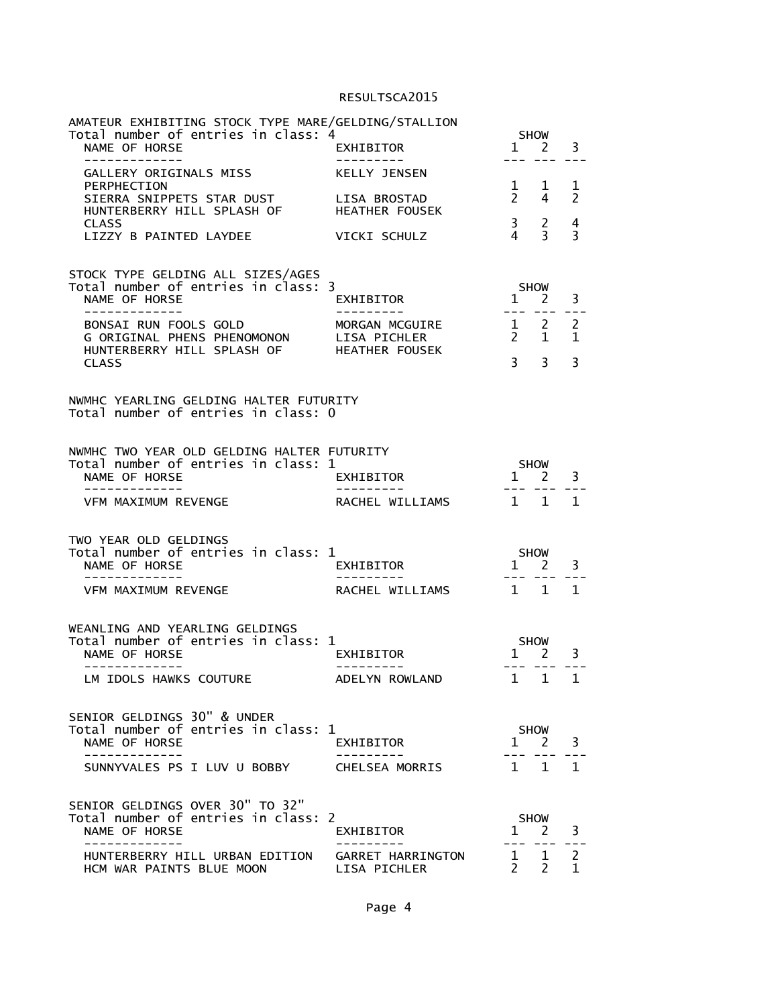| AMATEUR EXHIBITING STOCK TYPE MARE/GELDING/STALLION<br>Total number of entries in class: 4                     |                                   |                       | SHOW                                          |                     |
|----------------------------------------------------------------------------------------------------------------|-----------------------------------|-----------------------|-----------------------------------------------|---------------------|
| NAME OF HORSE<br>-------------                                                                                 | EXHIBITOR                         |                       | 1 2                                           | 3                   |
| GALLERY ORIGINALS MISS<br>PERPHECTION                                                                          | KELLY JENSEN<br>LISA BROSTAD      | $\overline{2}$        | $\frac{1}{2}$ $\frac{1}{2}$<br>$\overline{4}$ | ı<br>$\overline{2}$ |
| SIERRA SNIPPETS STAR DUST<br>HUNTERBERRY HILL SPLASH OF<br><b>CLASS</b>                                        | <b>HEATHER FOUSEK</b>             |                       | 3 <sub>2</sub>                                | 4                   |
| LIZZY B PAINTED LAYDEE                                                                                         | VICKI SCHULZ                      | $\overline{4}$        | $\overline{3}$                                | $\mathbf{3}$        |
| STOCK TYPE GELDING ALL SIZES/AGES<br>Total number of entries in class: 3                                       |                                   |                       | SHOW                                          |                     |
| NAME OF HORSE<br>-------------                                                                                 | EXHIBITOR                         | $\overline{1}$        | 2                                             | 3                   |
| BONSAI RUN FOOLS GOLD<br>G ORIGINAL PHENS PHENOMONON LISA PICHLER<br>HUNTERBERRY HILL SPLASH OF HEATHER FOUSEK | MORGAN MCGUIRE                    |                       | $1 \quad 2$<br>$2 \quad 1$                    | $\overline{2}$<br>1 |
| <b>CLASS</b>                                                                                                   |                                   | $3^{\circ}$           | $\overline{3}$                                | 3                   |
| NWMHC YEARLING GELDING HALTER FUTURITY<br>Total number of entries in class: 0                                  |                                   |                       |                                               |                     |
| NWMHC TWO YEAR OLD GELDING HALTER FUTURITY<br>Total number of entries in class: 1                              |                                   |                       | <b>SHOW</b>                                   |                     |
| NAME OF HORSE                                                                                                  | EXHIBITOR                         |                       | $1 \quad 2$                                   | 3                   |
| VFM MAXIMUM REVENGE                                                                                            | RACHEL WILLIAMS                   |                       | 1 1                                           | $\mathbf{1}$        |
| TWO YEAR OLD GELDINGS<br>Total number of entries in class: 1                                                   |                                   | <b>SHOW</b>           |                                               |                     |
| NAME OF HORSE                                                                                                  | EXHIBITOR                         | 1 2                   |                                               | 3                   |
| VFM MAXIMUM REVENGE                                                                                            | RACHEL WILLIAMS                   |                       | $1\quad1$                                     | 1                   |
| WEANLING AND YEARLING GELDINGS<br>Total number of entries in class: 1<br>NAME OF HORSE                         | EXHIBITOR                         |                       | SHOW<br>$1 \quad 2$                           | 3                   |
| LM IDOLS HAWKS COUTURE                                                                                         | ADELYN ROWLAND                    | $---$<br>$\mathbf{1}$ | $\frac{1}{2}$<br>$\mathbf{1}$                 | 1                   |
|                                                                                                                |                                   |                       |                                               |                     |
| SENIOR GELDINGS 30" & UNDER<br>Total number of entries in class: 1<br>NAME OF HORSE                            | EXHIBITOR                         |                       | <b>SHOW</b><br>$1 \quad 2$                    | 3                   |
| SUNNYVALES PS I LUV U BOBBY                                                                                    | CHELSEA MORRIS                    | 1 1                   |                                               | 1.                  |
| SENIOR GELDINGS OVER 30" TO 32"                                                                                |                                   |                       |                                               |                     |
| Total number of entries in class: 2<br>NAME OF HORSE<br>. _ _ _ _ _ _ _ _ _                                    | EXHIBITOR                         | 1                     | <b>SHOW</b><br>2                              | 3                   |
| HUNTERBERRY HILL URBAN EDITION<br>HCM WAR PAINTS BLUE MOON                                                     | GARRET HARRINGTON<br>LISA PICHLER | 1<br>2                | 1<br>$\overline{2}$                           | 2<br>1              |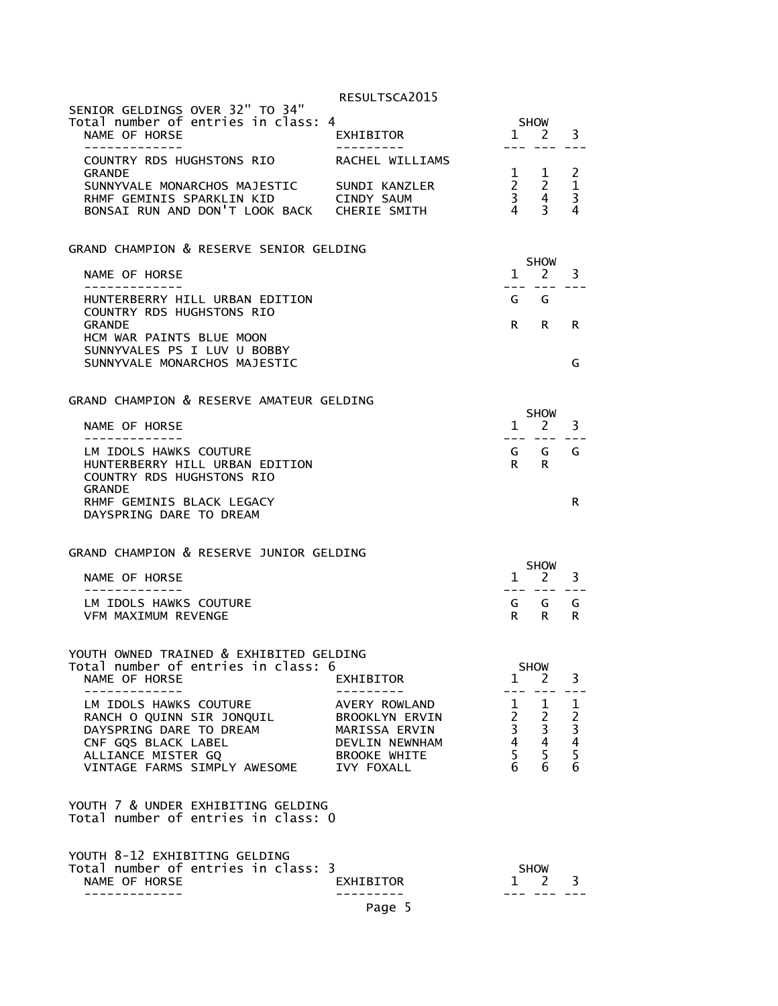| SENIOR GELDINGS OVER 32" TO 34"<br>Total number of entries in class: 4<br>NAME OF HORSE<br>----------                                                       | EXHIBITOR                                                                                               |                         | <b>SHOW</b><br>1 2                                                                     | 3                                                             |
|-------------------------------------------------------------------------------------------------------------------------------------------------------------|---------------------------------------------------------------------------------------------------------|-------------------------|----------------------------------------------------------------------------------------|---------------------------------------------------------------|
| COUNTRY RDS HUGHSTONS RIO<br><b>GRANDF</b><br>SUNNYVALE MONARCHOS MAJESTIC<br>RHMF GEMINIS SPARKLIN KID<br>BONSAI RUN AND DON'T LOOK BACK CHERIE SMITH      | RACHEL WILLIAMS<br>SUNDI KANZLER<br>CINDY SAUM                                                          | $\overline{4}$          | $\begin{matrix} 1 & 1 \\ 2 & 2 \\ 3 & 4 \end{matrix}$<br>1<br>$\overline{3}$           | $\overline{2}$<br>$\mathbf 1$<br>$\overline{\mathbf{3}}$<br>4 |
| GRAND CHAMPION & RESERVE SENIOR GELDING                                                                                                                     |                                                                                                         | $\mathbf{1}$            | <b>SHOW</b><br>2                                                                       | 3.                                                            |
| NAME OF HORSE<br>-------------                                                                                                                              |                                                                                                         |                         |                                                                                        |                                                               |
| HUNTERBERRY HILL URBAN EDITION<br>COUNTRY RDS HUGHSTONS RIO<br><b>GRANDE</b>                                                                                |                                                                                                         | G G<br>R i              | R                                                                                      | R                                                             |
| HCM WAR PAINTS BLUE MOON<br>SUNNYVALES PS I LUV U BOBBY<br>SUNNYVALE MONARCHOS MAJESTIC                                                                     |                                                                                                         |                         |                                                                                        | G                                                             |
|                                                                                                                                                             |                                                                                                         |                         |                                                                                        |                                                               |
| GRAND CHAMPION & RESERVE AMATEUR GELDING                                                                                                                    |                                                                                                         |                         | <b>SHOW</b>                                                                            |                                                               |
| NAME OF HORSE<br>______________                                                                                                                             |                                                                                                         | $\mathbf{1}$<br>--- --- | 2                                                                                      | 3                                                             |
| LM IDOLS HAWKS COUTURE<br>HUNTERBERRY HILL URBAN EDITION<br>COUNTRY RDS HUGHSTONS RIO<br><b>GRANDE</b>                                                      |                                                                                                         | G<br>R                  | G<br>R                                                                                 | G                                                             |
| RHMF GEMINIS BLACK LEGACY<br>DAYSPRING DARE TO DREAM                                                                                                        |                                                                                                         |                         |                                                                                        | R                                                             |
| GRAND CHAMPION & RESERVE JUNIOR GELDING                                                                                                                     |                                                                                                         |                         |                                                                                        |                                                               |
| NAME OF HORSE                                                                                                                                               |                                                                                                         | $\mathbf{1}$            | <b>SHOW</b><br>2                                                                       | 3                                                             |
| -------------<br>LM IDOLS HAWKS COUTURE<br><b>VFM MAXIMUM REVENGE</b>                                                                                       |                                                                                                         | --- ---<br>G<br>R.      | G<br>R                                                                                 | G<br>R                                                        |
| YOUTH OWNED TRAINED & EXHIBITED GELDING                                                                                                                     |                                                                                                         |                         |                                                                                        |                                                               |
| Total number of entries in class: 6<br>NAME OF HORSE                                                                                                        | EXHIBITOR                                                                                               | 1                       | <b>SHOW</b><br>2                                                                       | 3.                                                            |
| LM IDOLS HAWKS COUTURE<br>RANCH O QUINN SIR JONQUIL<br>DAYSPRING DARE TO DREAM<br>CNF GQS BLACK LABEL<br>ALLIANCE MISTER GQ<br>VINTAGE FARMS SIMPLY AWESOME | AVERY ROWLAND<br>BROOKLYN ERVIN<br>MARISSA ERVIN<br>DEVLIN NEWNHAM<br><b>BROOKE WHITE</b><br>IVY FOXALL | $\frac{1}{2}$<br>6      | $\mathbf{1}$<br>$\begin{array}{ccc} 2 & 2 \\ 3 & 3 \\ 4 & 4 \\ 5 & 5 \end{array}$<br>6 | $\frac{1}{2}$ $\frac{3}{4}$ $\frac{4}{5}$ $\frac{5}{6}$       |
| YOUTH 7 & UNDER EXHIBITING GELDING<br>Total number of entries in class: 0                                                                                   |                                                                                                         |                         |                                                                                        |                                                               |
| YOUTH 8-12 EXHIBITING GELDING<br>Total number of entries in class: 3<br>NAME OF HORSE<br>- - - - - - - - - - -                                              | EXHIBITOR                                                                                               |                         | <b>SHOW</b><br>1 2                                                                     | 3                                                             |
|                                                                                                                                                             | Page 5                                                                                                  |                         |                                                                                        |                                                               |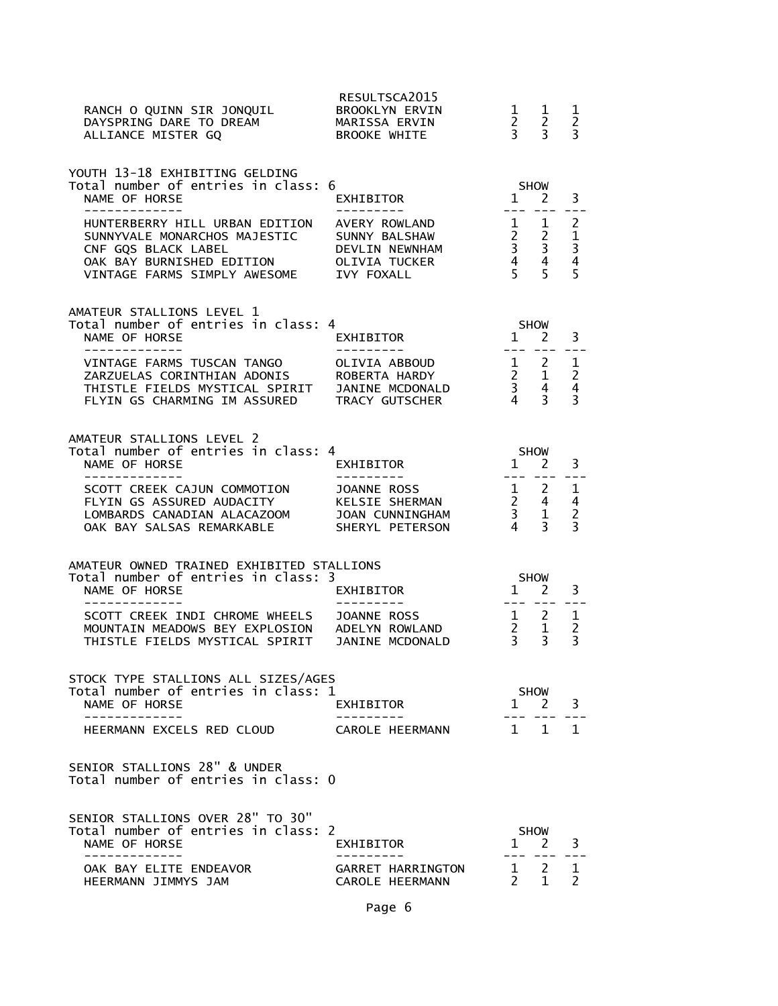| RANCH O QUINN SIR JONQUIL<br>DAYSPRING DARE TO DREAM<br>ALLIANCE MISTER GQ                                                                                               | RESULTSCA2015<br><b>BROOKLYN ERVIN</b><br>MARISSA ERVIN<br><b>BROOKE WHITE</b>    | $\begin{array}{ccc} 2 & 2 \\ 3 & 3 \end{array}$ | $1 \quad 1$                                                       | 1<br>$\overline{c}$<br>$\overline{3}$    |
|--------------------------------------------------------------------------------------------------------------------------------------------------------------------------|-----------------------------------------------------------------------------------|-------------------------------------------------|-------------------------------------------------------------------|------------------------------------------|
| YOUTH 13-18 EXHIBITING GELDING<br>Total number of entries in class: 6<br>NAME OF HORSE<br>------------<br>HUNTERBERRY HILL URBAN EDITION                                 | EXHIBITOR<br>- - - - - - - - - <sup>-</sup><br>AVERY ROWLAND                      | <b>SHOW</b>                                     | $1 \quad 2$<br>--- --- <b>-</b><br>$\frac{1}{2}$ $\frac{1}{2}$    | 3<br>$\overline{2}$                      |
| SUNNYVALE MONARCHOS MAJESTIC<br>CNF GQS BLACK LABEL<br>OAK BAY BURNISHED EDITION<br>VINTAGE FARMS SIMPLY AWESOME IVY FOXALL                                              | SUNNY BALSHAW<br>DEVLIN NEWNHAM<br>OLIVIA TUCKER                                  |                                                 | $\begin{array}{ccc} 2 & 2 \\ 3 & 3 \\ 4 & 4 \\ 5 & 5 \end{array}$ | $\mathbf{1}$<br>$\frac{3}{4}$<br>5       |
| AMATEUR STALLIONS LEVEL 1<br>Total number of entries in class: 4<br>NAME OF HORSE<br>------------                                                                        | EXHIBITOR                                                                         | <b>SHOW</b><br>$1 \quad 2$                      | $\frac{1}{2}$                                                     | 3                                        |
| VINTAGE FARMS TUSCAN TANGO<br>ZARZUELAS CORINTHIAN ADONIS ROBERTA HARDY<br>THISTLE FIELDS MYSTICAL SPIRIT JANINE MCDONALD<br>FLYIN GS CHARMING IM ASSURED TRACY GUTSCHER | OLIVIA ABBOUD<br>ROBERTA HARDY                                                    |                                                 | $\begin{array}{ccc} 1 & 2 \\ 2 & 1 \\ 3 & 4 \\ 4 & 3 \end{array}$ | 1<br>$\overline{c}$<br>4<br>3            |
| AMATEUR STALLIONS LEVEL 2<br>Total number of entries in class: 4<br>NAME OF HORSE                                                                                        | EXHIBITOR                                                                         | $1 \nightharpoonup 2$                           | SHOW                                                              | 3                                        |
| -------------<br>SCOTT CREEK CAJUN COMMOTION<br>FLYIN GS ASSURED AUDACITY<br>LOMBARDS CANADIAN ALACAZOOM<br>OAK BAY SALSAS REMARKABLE                                    | ----------<br>JOANNE ROSS<br>KELSIE SHERMAN<br>JOAN CUNNINGHAM<br>SHERYL PETERSON |                                                 | $\begin{array}{ccc} 1 & 2 \\ 2 & 4 \\ 3 & 1 \\ 4 & 3 \end{array}$ | $\mathbf{1}$<br>4<br>$\overline{2}$<br>3 |
| AMATEUR OWNED TRAINED EXHIBITED STALLIONS<br>Total number of entries in class: 3<br>NAME OF HORSE                                                                        | EXHIBITOR                                                                         | $\overline{1}$                                  | SHOW<br>$\mathbf{2}$                                              | 3                                        |
| SCOTT CREEK INDI CHROME WHEELS<br>MOUNTAIN MEADOWS BEY EXPLOSION ADELYN ROWLAND<br>THISTLE FIELDS MYSTICAL SPIRIT JANINE MCDONALD                                        | JOANNE ROSS                                                                       | --- ---<br>$\overline{2}$ 1<br>$\overline{3}$   | $\frac{1}{2}$ 2<br>$\overline{3}$                                 | 1<br>2<br>$\overline{3}$                 |
| STOCK TYPE STALLIONS ALL SIZES/AGES<br>Total number of entries in class: 1<br>NAME OF HORSE                                                                              | EXHIBITOR                                                                         | $\mathbf{1}$                                    | SHOW<br>$2^{\circ}$                                               | 3                                        |
| HEERMANN EXCELS RED CLOUD                                                                                                                                                | CAROLE HEERMANN                                                                   |                                                 | $1 \quad 1$                                                       | 1                                        |
| SENIOR STALLIONS 28" & UNDER<br>Total number of entries in class: 0                                                                                                      |                                                                                   |                                                 |                                                                   |                                          |
| SENIOR STALLIONS OVER 28" TO 30"<br>Total number of entries in class: 2<br>NAME OF HORSE                                                                                 | EXHIBITOR                                                                         |                                                 | SHOW<br>$1 \quad 2$                                               | 3                                        |
| OAK BAY ELITE ENDEAVOR<br>HEERMANN JIMMYS JAM                                                                                                                            | GARRET HARRINGTON<br>CAROLE HEERMANN                                              |                                                 | $1 \quad 2$<br>$\overline{2}$ $\overline{1}$                      | 1<br>$\mathcal{P}$                       |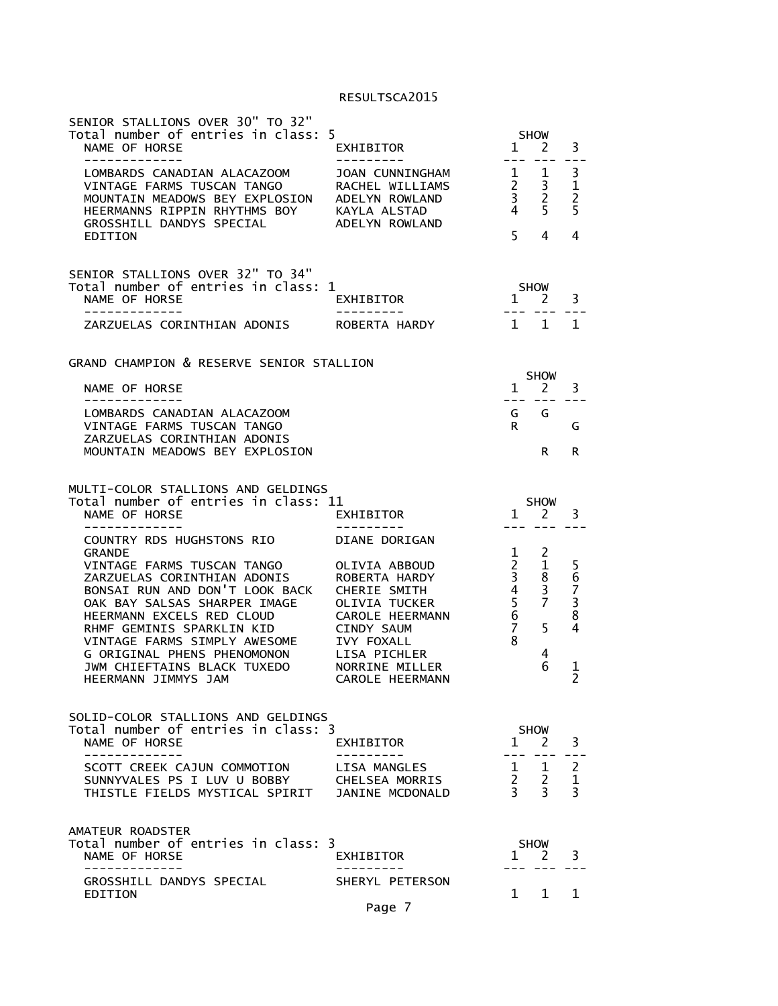| SENIOR STALLIONS OVER 30" TO 32"<br>Total number of entries in class: 5<br>NAME OF HORSE                                                                                                                                                                                                                   | EXHIBITOR                                                                                                                                                                                | <b>SHOW</b><br>3<br>$1 \quad 2$<br>$---$                                                                                                                                                   |  |
|------------------------------------------------------------------------------------------------------------------------------------------------------------------------------------------------------------------------------------------------------------------------------------------------------------|------------------------------------------------------------------------------------------------------------------------------------------------------------------------------------------|--------------------------------------------------------------------------------------------------------------------------------------------------------------------------------------------|--|
| LOMBARDS CANADIAN ALACAZOOM<br>VINTAGE FARMS TUSCAN TANGO<br>MOUNTAIN MEADOWS BEY EXPLOSION<br>HEERMANNS RIPPIN RHYTHMS BOY<br>GROSSHILL DANDYS SPECIAL                                                                                                                                                    | JOAN CUNNINGHAM<br>RACHEL WILLIAMS<br>ADELYN ROWLAND<br>KAYLA ALSTAD<br>ADELYN ROWLAND                                                                                                   | 3<br>$\mathbf{1}$<br>1<br>$\overline{2}$<br>$\frac{1}{2}$<br>3<br>$\overline{3}$<br>$\overline{2}$<br>5<br>$\overline{4}$<br>5                                                             |  |
| EDITION                                                                                                                                                                                                                                                                                                    |                                                                                                                                                                                          | 5<br>4<br>4                                                                                                                                                                                |  |
| SENIOR STALLIONS OVER 32" TO 34"<br>Total number of entries in class: 1<br>NAME OF HORSE<br>ZARZUELAS CORINTHIAN ADONIS                                                                                                                                                                                    | EXHIBITOR<br>ROBERTA HARDY                                                                                                                                                               | <b>SHOW</b><br>3<br>$1 \quad 2$<br>$\overline{1}$<br>$\mathbf{1}$<br>1                                                                                                                     |  |
| GRAND CHAMPION & RESERVE SENIOR STALLION                                                                                                                                                                                                                                                                   |                                                                                                                                                                                          |                                                                                                                                                                                            |  |
| NAME OF HORSE                                                                                                                                                                                                                                                                                              |                                                                                                                                                                                          | <b>SHOW</b><br>$1 \quad 2$<br>3                                                                                                                                                            |  |
| LOMBARDS CANADIAN ALACAZOOM<br>VINTAGE FARMS TUSCAN TANGO<br>ZARZUELAS CORINTHIAN ADONIS                                                                                                                                                                                                                   |                                                                                                                                                                                          | G<br>G<br>R.<br>G                                                                                                                                                                          |  |
| MOUNTAIN MEADOWS BEY EXPLOSION                                                                                                                                                                                                                                                                             |                                                                                                                                                                                          | R.<br>R                                                                                                                                                                                    |  |
| MULTI-COLOR STALLIONS AND GELDINGS<br>Total number of entries in class: 11<br>NAME OF HORSE<br>-------------                                                                                                                                                                                               | EXHIBITOR<br>---------                                                                                                                                                                   | <b>SHOW</b><br>1<br>3<br>2                                                                                                                                                                 |  |
| COUNTRY RDS HUGHSTONS RIO<br><b>GRANDE</b>                                                                                                                                                                                                                                                                 | DIANE DORIGAN                                                                                                                                                                            | $\mathbf{1}$<br>2                                                                                                                                                                          |  |
| VINTAGE FARMS TUSCAN TANGO<br>ZARZUELAS CORINTHIAN ADONIS<br>BONSAI RUN AND DON'T LOOK BACK<br>OAK BAY SALSAS SHARPER IMAGE<br>HEERMANN EXCELS RED CLOUD<br>RHMF GEMINIS SPARKLIN KID<br>VINTAGE FARMS SIMPLY AWESOME<br>G ORIGINAL PHENS PHENOMONON<br>JWM CHIEFTAINS BLACK TUXEDO<br>HEERMANN JIMMYS JAM | OLIVIA ABBOUD<br>ROBERTA HARDY<br>CHERIE SMITH<br><b>OLIVIA TUCKER</b><br><b>CAROLE HEERMANN</b><br>CINDY SAUM<br><b>IVY FOXALL</b><br>LISA PICHLER<br>NORRINE MILLER<br>CAROLE HEERMANN | $\overline{2}$<br>1<br>56738<br>$\overline{3}$<br>8<br>$\overline{4}$<br>3<br>$\begin{array}{c} 5 \\ 6 \\ 7 \end{array}$<br>7<br>$\overline{4}$<br>5<br>8<br>4<br>6<br>1<br>$\overline{2}$ |  |
| SOLID-COLOR STALLIONS AND GELDINGS<br>Total number of entries in class: 3<br>NAME OF HORSE                                                                                                                                                                                                                 | EXHIBITOR                                                                                                                                                                                | <b>SHOW</b><br>3<br>$1 \quad 2$                                                                                                                                                            |  |
| ----------<br>SCOTT CREEK CAJUN COMMOTION<br>SUNNYVALES PS I LUV U BOBBY<br>THISTLE FIELDS MYSTICAL SPIRIT                                                                                                                                                                                                 | LISA MANGLES<br>CHELSEA MORRIS<br>JANINE MCDONALD                                                                                                                                        | $\overline{c}$<br>$\mathbf{1}$<br>1<br>$\frac{2}{3}$<br>$\mathbf{1}$<br>$\overline{2}$<br>3<br>3                                                                                           |  |
| AMATEUR ROADSTER<br>Total number of entries in class: 3<br>NAME OF HORSE                                                                                                                                                                                                                                   | EXHIBITOR                                                                                                                                                                                | <b>SHOW</b><br>3<br>2<br>$\mathbf{1}$                                                                                                                                                      |  |
| GROSSHILL DANDYS SPECIAL<br>EDITION                                                                                                                                                                                                                                                                        | .<br>SHERYL PETERSON                                                                                                                                                                     | $1 \quad$<br>$\mathbf{1}$<br>1                                                                                                                                                             |  |
|                                                                                                                                                                                                                                                                                                            | Page 7                                                                                                                                                                                   |                                                                                                                                                                                            |  |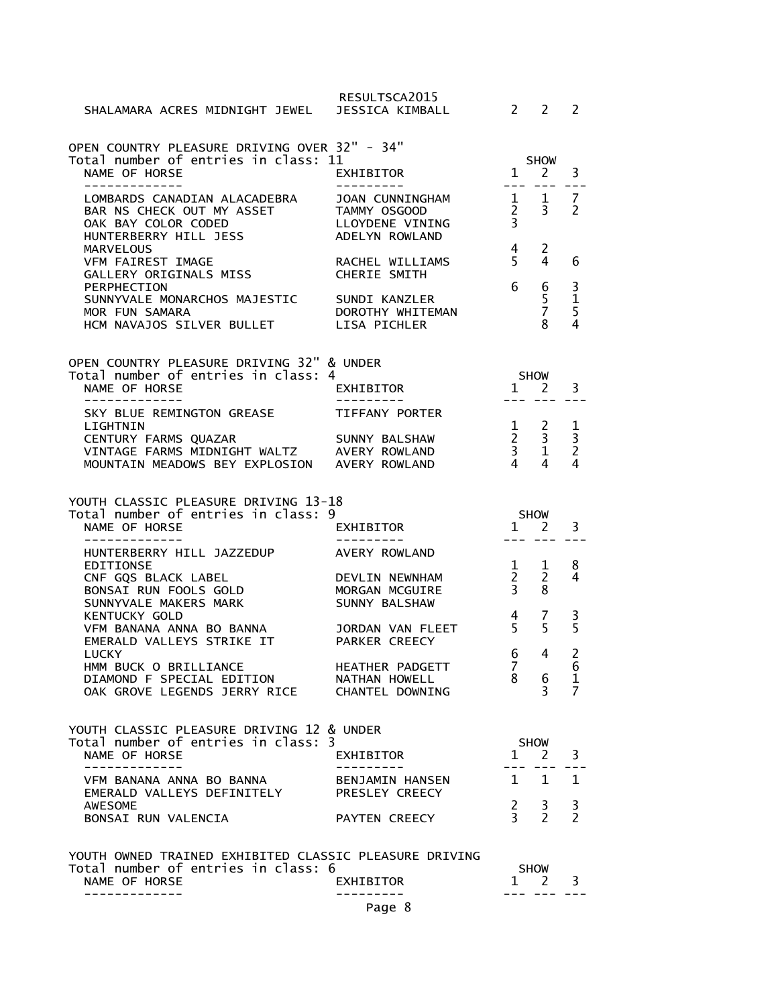| SHALAMARA ACRES MIDNIGHT JEWEL                                                                                        | RESULTSCA2015<br>JESSICA KIMBALL                                     | $\mathcal{P}$                                 | $\mathcal{P}$                                                                                                                                                                                                                                                                                                                                                                                | $\mathcal{P}$                                               |
|-----------------------------------------------------------------------------------------------------------------------|----------------------------------------------------------------------|-----------------------------------------------|----------------------------------------------------------------------------------------------------------------------------------------------------------------------------------------------------------------------------------------------------------------------------------------------------------------------------------------------------------------------------------------------|-------------------------------------------------------------|
| OPEN COUNTRY PLEASURE DRIVING OVER 32" - 34"<br>Total number of entries in class: 11<br>NAME OF HORSE<br>------------ | <b>EXHIBITOR</b>                                                     | $\mathbf{1}$                                  | <b>SHOW</b><br><sup>2</sup>                                                                                                                                                                                                                                                                                                                                                                  | 3                                                           |
| LOMBARDS CANADIAN ALACADEBRA<br>BAR NS CHECK OUT MY ASSET<br>OAK BAY COLOR CODED<br>HUNTERBERRY HILL JESS             | JOAN CUNNINGHAM<br>TAMMY OSGOOD<br>LLOYDENE VINING<br>ADELYN ROWLAND | $\overline{2}$<br>3                           | 1 1<br>$\overline{3}$                                                                                                                                                                                                                                                                                                                                                                        | 7<br>$\overline{2}$                                         |
| <b>MARVELOUS</b><br>VFM FAIREST IMAGE<br>GALLERY ORIGINALS MISS                                                       | RACHEL WILLIAMS<br>CHERIE SMITH                                      | 4<br>5                                        | $\overline{c}$<br>4                                                                                                                                                                                                                                                                                                                                                                          | 6                                                           |
| PERPHECTION<br>SUNNYVALE MONARCHOS MAJESTIC<br>MOR FUN SAMARA<br>HCM NAVAJOS SILVER BULLET                            | SUNDI KANZLER<br>DOROTHY WHITEMAN<br><b>LISA PICHLER</b>             | 6                                             | 6<br>5<br>$\overline{7}$<br>8                                                                                                                                                                                                                                                                                                                                                                | $\frac{3}{1}$<br>$\overline{4}$                             |
| OPEN COUNTRY PLEASURE DRIVING 32" & UNDER                                                                             |                                                                      |                                               |                                                                                                                                                                                                                                                                                                                                                                                              |                                                             |
| Total number of entries in class: 4<br>NAME OF HORSE                                                                  | EXHIBITOR                                                            | <b>SHOW</b><br>$1 \quad 2$<br>$-- -$          | $\frac{1}{2} \frac{1}{2} \frac{1}{2} \frac{1}{2} \frac{1}{2} \frac{1}{2} \frac{1}{2} \frac{1}{2} \frac{1}{2} \frac{1}{2} \frac{1}{2} \frac{1}{2} \frac{1}{2} \frac{1}{2} \frac{1}{2} \frac{1}{2} \frac{1}{2} \frac{1}{2} \frac{1}{2} \frac{1}{2} \frac{1}{2} \frac{1}{2} \frac{1}{2} \frac{1}{2} \frac{1}{2} \frac{1}{2} \frac{1}{2} \frac{1}{2} \frac{1}{2} \frac{1}{2} \frac{1}{2} \frac{$ | 3                                                           |
| SKY BLUE REMINGTON GREASE<br>LIGHTNIN                                                                                 | TIFFANY PORTER                                                       | $\mathbf{1}$                                  | 2                                                                                                                                                                                                                                                                                                                                                                                            | 1                                                           |
| CENTURY FARMS QUAZAR<br>VINTAGE FARMS MIDNIGHT WALTZ<br>MOUNTAIN MEADOWS BEY EXPLOSION AVERY ROWLAND                  | SUNNY BALSHAW<br>AVERY ROWLAND                                       | $\frac{2}{3}$<br>$\overline{4}$               | $\mathbf{3}$<br>$\mathbf{1}$<br>4                                                                                                                                                                                                                                                                                                                                                            | $\overline{\mathbf{3}}$<br>$\overline{2}$<br>$\overline{4}$ |
|                                                                                                                       |                                                                      |                                               |                                                                                                                                                                                                                                                                                                                                                                                              |                                                             |
| YOUTH CLASSIC PLEASURE DRIVING 13-18                                                                                  |                                                                      |                                               |                                                                                                                                                                                                                                                                                                                                                                                              |                                                             |
| Total number of entries in class: 9<br>NAME OF HORSE                                                                  | EXHIBITOR                                                            | $1 \quad 2$                                   | SHOW                                                                                                                                                                                                                                                                                                                                                                                         | 3                                                           |
| -------------<br>HUNTERBERRY HILL JAZZEDUP                                                                            | ---------<br>AVERY ROWLAND                                           |                                               |                                                                                                                                                                                                                                                                                                                                                                                              |                                                             |
| <b>EDITIONSE</b><br>CNF GQS BLACK LABEL<br>BONSAI RUN FOOLS GOLD<br>SUNNYVALE MAKERS MARK                             | DEVLIN NEWNHAM<br>MORGAN MCGUIRE<br>SUNNY BALSHAW                    | $\mathbf{1}$<br>$2^{\circ}$<br>$\overline{3}$ | 1<br>2<br>8                                                                                                                                                                                                                                                                                                                                                                                  | 8<br>4                                                      |
| <b>KENTUCKY GOLD</b><br>VFM BANANA ANNA BO BANNA<br>EMERALD VALLEYS STRIKE IT                                         | JORDAN VAN FLEET<br>PARKER CREECY                                    | 4<br>5                                        | 7<br>5                                                                                                                                                                                                                                                                                                                                                                                       | $\frac{3}{5}$                                               |
| <b>LUCKY</b><br>HMM BUCK O BRILLIANCE<br>DIAMOND F SPECIAL EDITION<br>OAK GROVE LEGENDS JERRY RICE CHANTEL DOWNING    | HEATHER PADGETT<br>NATHAN HOWELL                                     | 6<br>7<br>8                                   | 4<br>6<br>3                                                                                                                                                                                                                                                                                                                                                                                  | 2<br>6<br>1<br>7                                            |
| YOUTH CLASSIC PLEASURE DRIVING 12 & UNDER                                                                             |                                                                      |                                               |                                                                                                                                                                                                                                                                                                                                                                                              |                                                             |
| Total number of entries in class: 3<br>NAME OF HORSE                                                                  | EXHIBITOR                                                            | $1 \quad 2$                                   | <b>SHOW</b>                                                                                                                                                                                                                                                                                                                                                                                  | 3                                                           |
| VFM BANANA ANNA BO BANNA<br>EMERALD VALLEYS DEFINITELY                                                                | BENJAMIN HANSEN<br>PRESLEY CREECY                                    | $\mathbf{1}$                                  | 1                                                                                                                                                                                                                                                                                                                                                                                            | $\mathbf{1}$                                                |
| <b>AWESOME</b><br>BONSAI RUN VALENCIA                                                                                 | PAYTEN CREECY                                                        | $\frac{2}{3}$                                 | 3<br>$\overline{2}$                                                                                                                                                                                                                                                                                                                                                                          | 3<br>$\overline{\phantom{a}}$                               |
| YOUTH OWNED TRAINED EXHIBITED CLASSIC PLEASURE DRIVING<br>Total number of entries in class: 6<br>NAME OF HORSE        | EXHIBITOR                                                            | $\mathbf{1}$                                  | <b>SHOW</b><br><sup>2</sup>                                                                                                                                                                                                                                                                                                                                                                  | 3                                                           |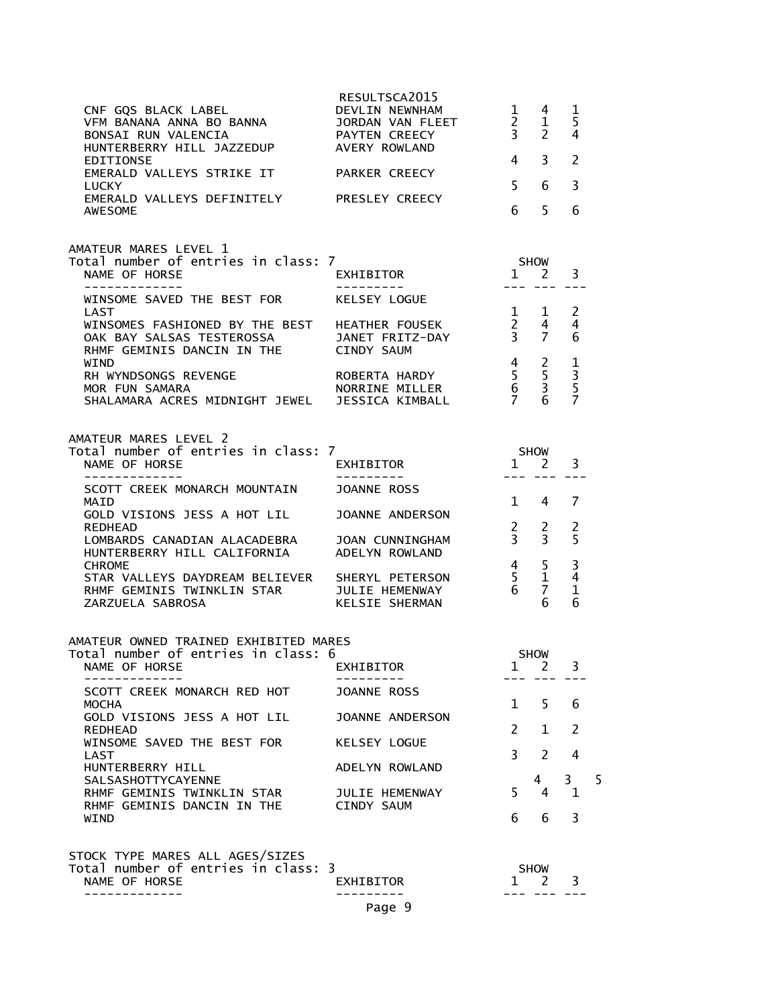| BONSAI RUN VALENCIA<br>HUNTERBERRY HILL JAZZEDUP AVERY ROWLAND<br>EDITIONSE<br>EMERALD VALLEYS STRIKE IT PARKER CREECY<br><b>LUCKY</b><br>EMERALD VALLEYS DEFINITELY PRESLEY CREECY<br><b>AWESOME</b> | RESULTSCA2015<br>JORDAN VAN FLEET<br>PAYTEN CREECY | $\frac{2}{3}$<br>$\overline{4}$<br>$5 -$<br>6 | $1 \quad 4$<br>1<br>$\mathbf{2}$<br>3<br>6<br>5                            | 1<br>5<br>4<br>$\overline{2}$<br>$\overline{3}$<br>6 |   |
|-------------------------------------------------------------------------------------------------------------------------------------------------------------------------------------------------------|----------------------------------------------------|-----------------------------------------------|----------------------------------------------------------------------------|------------------------------------------------------|---|
| AMATEUR MARES LEVEL 1<br>Total number of entries in class: 7<br>NAME OF HORSE                                                                                                                         | EXHIBITOR<br>--------                              | <b>SHOW</b>                                   | 1 2                                                                        | 3                                                    |   |
| -------------<br>WINSOME SAVED THE BEST FOR KELSEY LOGUE                                                                                                                                              |                                                    |                                               | $--- - - - - -$                                                            |                                                      |   |
| LAST<br>WINSOMES FASHIONED BY THE BEST HEATHER FOUSEK $\overline{2}$ $\overline{4}$<br>OAK BAY SALSAS TESTEROSSA JANET FRITZ-DAY $\overline{3}$ 7<br>RHMF GEMINIS DANCIN IN THE CINDY SAUM            |                                                    | 1                                             | $\mathbf{1}$                                                               | 2<br>$\overline{4}$<br>6                             |   |
| WIND<br>RH WYNDSONGS REVENGE<br>MOR FUN SAMARA<br>SHALAMARA ACRES MIDNIGHT JEWEL JESSICA KIMBALL                                                                                                      | ROBERTA HARDY<br>NORRINE MILLER                    | 4                                             | $\overline{2}$<br>$\begin{array}{ccc} 5 & 5 \\ 6 & 3 \\ 7 & 6 \end{array}$ | $\begin{array}{c}\n1 \\ 3 \\ 5\n\end{array}$         |   |
| AMATEUR MARES LEVEL 2<br>Total number of entries in class: 7<br>NAME OF HORSE<br>-------------                                                                                                        | EXHIBITOR<br>----------                            |                                               | SHOW<br>1 2<br>100 <b>100 100 100 100</b>                                  | 3<br>$= - -$                                         |   |
| SCOTT CREEK MONARCH MOUNTAIN JOANNE ROSS<br>MAID                                                                                                                                                      |                                                    |                                               | $1 \quad 4$                                                                | 7                                                    |   |
| GOLD VISIONS JESS A HOT LIL JOANNE ANDERSON<br>REDHEAD<br>LOMBARDS CANADIAN ALACADEBRA JOAN CUNNINGHAM                                                                                                |                                                    |                                               | $\frac{1}{3}$ $\frac{2}{5}$                                                | 2<br>5                                               |   |
| HUNTERBERRY HILL CALIFORNIA ADELYN ROWLAND<br><b>CHROME</b><br>STAR VALLEYS DAYDREAM BELIEVER SHERYL PETERSON<br>RHMF GEMINIS TWINKLIN STAR JULIE HEMENWAY<br>ZARZUELA SABROSA                        | KELSIE SHERMAN                                     |                                               | $\begin{array}{cc} 4 & 5 \\ 5 & 1 \\ 6 & 7 \end{array}$<br>6               | 3<br>$\overline{4}$<br>$\mathbf{1}$<br>6             |   |
| AMATEUR OWNED TRAINED EXHIBITED MARES<br>Total number of entries in class: 6                                                                                                                          |                                                    |                                               |                                                                            |                                                      |   |
| NAME OF HORSE                                                                                                                                                                                         | <b>EXHIBITOR</b>                                   | 1                                             | SHOW<br>2                                                                  | 3                                                    |   |
| SCOTT CREEK MONARCH RED HOT<br><b>MOCHA</b>                                                                                                                                                           | <b>JOANNE ROSS</b>                                 | 1                                             | 5                                                                          | 6                                                    |   |
| GOLD VISIONS JESS A HOT LIL<br><b>REDHEAD</b><br>WINSOME SAVED THE BEST FOR                                                                                                                           | JOANNE ANDERSON<br>KELSEY LOGUE                    | $\mathcal{P}$                                 | 1                                                                          | 2                                                    |   |
| LAST<br>HUNTERBERRY HILL                                                                                                                                                                              | ADELYN ROWLAND                                     | 3                                             | 2                                                                          | 4                                                    |   |
| SALSASHOTTYCAYENNE<br>RHMF GEMINIS TWINKLIN STAR<br>RHMF GEMINIS DANCIN IN THE                                                                                                                        | JULIE HEMENWAY<br><b>CINDY SAUM</b>                | 5.                                            | 4<br>4                                                                     | $\overline{3}$<br>$\mathbf{1}$                       | 5 |
| WIND                                                                                                                                                                                                  |                                                    | 6                                             | 6                                                                          | 3                                                    |   |
| STOCK TYPE MARES ALL AGES/SIZES<br>Total number of entries in class: 3<br>NAME OF HORSE                                                                                                               | EXHIBITOR<br>Page 9                                |                                               | <b>SHOW</b><br>$1 \quad 2$                                                 | 3                                                    |   |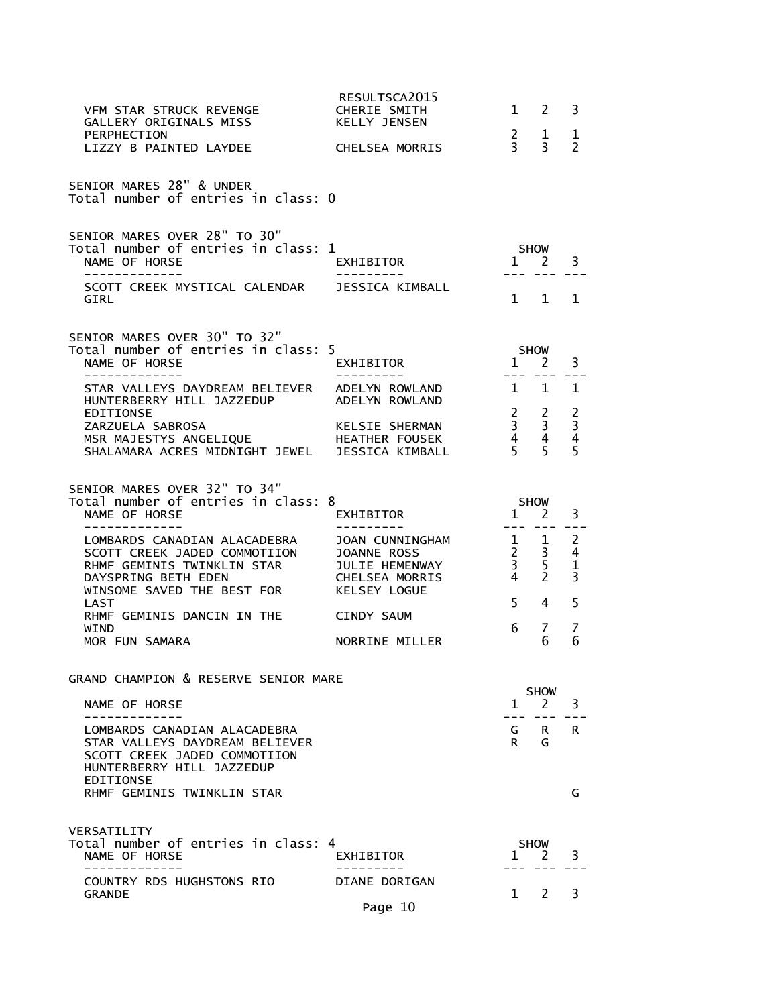| VFM STAR STRUCK REVENGE<br>GALLERY ORIGINALS MISS                                                                                               | RESULTSCA2015<br>CHERIE SMITH<br><b>KELLY JENSEN</b>                                                    | 1                                                           | 2                                                             | 3                                       |
|-------------------------------------------------------------------------------------------------------------------------------------------------|---------------------------------------------------------------------------------------------------------|-------------------------------------------------------------|---------------------------------------------------------------|-----------------------------------------|
| PERPHECTION<br>LIZZY B PAINTED LAYDEE                                                                                                           | CHELSEA MORRIS                                                                                          | $\frac{2}{3}$                                               | 1<br>3                                                        | 1<br>$\overline{2}$                     |
| SENIOR MARES 28" & UNDER<br>Total number of entries in class: 0                                                                                 |                                                                                                         |                                                             |                                                               |                                         |
| SENIOR MARES OVER 28" TO 30"<br>Total number of entries in class: 1<br>NAME OF HORSE<br>-------------<br>SCOTT CREEK MYSTICAL CALENDAR          | EXHIBITOR<br>----------<br>JESSICA KIMBALL                                                              | $\mathbf{1}$                                                | SHOW<br>2                                                     | 3                                       |
| GIRL                                                                                                                                            |                                                                                                         |                                                             | $1 \quad 1$                                                   | 1                                       |
| SENIOR MARES OVER 30" TO 32"<br>Total number of entries in class: 5<br>NAME OF HORSE<br>--------------                                          | EXHIBITOR<br>----------                                                                                 | $1 \quad 2$<br>$---$                                        | <b>SHOW</b>                                                   | 3                                       |
| STAR VALLEYS DAYDREAM BELIEVER<br>HUNTERBERRY HILL JAZZEDUP<br>EDITIONSE                                                                        | ADELYN ROWLAND<br>ADELYN ROWLAND                                                                        | 1                                                           | 1                                                             | 1                                       |
| ZARZUELA SABROSA<br>MSR MAJESTYS ANGELIQUE<br>SHALAMARA ACRES MIDNIGHT JEWEL                                                                    | KELSIE SHERMAN<br>HEATHER FOUSEK<br>JESSICA KIMBALL                                                     | 5 <sup>7</sup>                                              | $\begin{array}{ccc} 2 & 2 \\ 3 & 3 \\ 4 & 4 \end{array}$<br>5 | $\frac{2}{3}$<br>45                     |
| SENIOR MARES OVER 32" TO 34"<br>Total number of entries in class: 8<br>NAME OF HORSE<br>_ _ _ _ _ _ _ _ _ _ _                                   | EXHIBITOR<br>. <u>.</u> .                                                                               | $1 \quad 2$<br>$\frac{1}{2}$ and $\frac{1}{2}$              | <b>SHOW</b>                                                   | 3                                       |
| LOMBARDS CANADIAN ALACADEBRA<br>SCOTT CREEK JADED COMMOTIION<br>RHMF GEMINIS TWINKLIN STAR<br>DAYSPRING BETH EDEN<br>WINSOME SAVED THE BEST FOR | <b>JOAN CUNNINGHAM</b><br><b>JOANNE ROSS</b><br>JULIE HEMENWAY<br><b>CHELSEA MORRIS</b><br>KELSEY LOGUE | $\frac{1}{2}$ $\frac{1}{2}$<br>$2^{\circ}$<br>$\frac{3}{4}$ | $\overline{3}$<br>$\frac{5}{2}$                               | 2<br>4<br>$\mathbf 1$<br>$\overline{3}$ |
| LAST<br>RHMF GEMINIS DANCIN IN THE                                                                                                              | CINDY SAUM                                                                                              | 5 <sup>1</sup>                                              | 4                                                             | 5                                       |
| WIND<br>MOR FUN SAMARA                                                                                                                          | NORRINE MILLER                                                                                          | 6                                                           | 7<br>6                                                        | 7<br>6                                  |
| GRAND CHAMPION & RESERVE SENIOR MARE                                                                                                            |                                                                                                         |                                                             | <b>SHOW</b>                                                   |                                         |
| NAME OF HORSE                                                                                                                                   |                                                                                                         | $\mathbf{1}$                                                | 2                                                             | 3                                       |
| LOMBARDS CANADIAN ALACADEBRA<br>STAR VALLEYS DAYDREAM BELIEVER<br>SCOTT CREEK JADED COMMOTIION<br>HUNTERBERRY HILL JAZZEDUP<br>EDITIONSE        |                                                                                                         | G<br>R                                                      | R.<br>G                                                       | R.                                      |
| RHMF GEMINIS TWINKLIN STAR                                                                                                                      |                                                                                                         |                                                             |                                                               | G                                       |
| VERSATILITY<br>Total number of entries in class: 4<br>NAME OF HORSE                                                                             | EXHIBITOR                                                                                               | 1                                                           | <b>SHOW</b><br>2                                              | 3                                       |
| COUNTRY RDS HUGHSTONS RIO<br><b>GRANDE</b>                                                                                                      | DIANE DORIGAN                                                                                           | 1                                                           | 2                                                             | 3                                       |
|                                                                                                                                                 | Page 10                                                                                                 |                                                             |                                                               |                                         |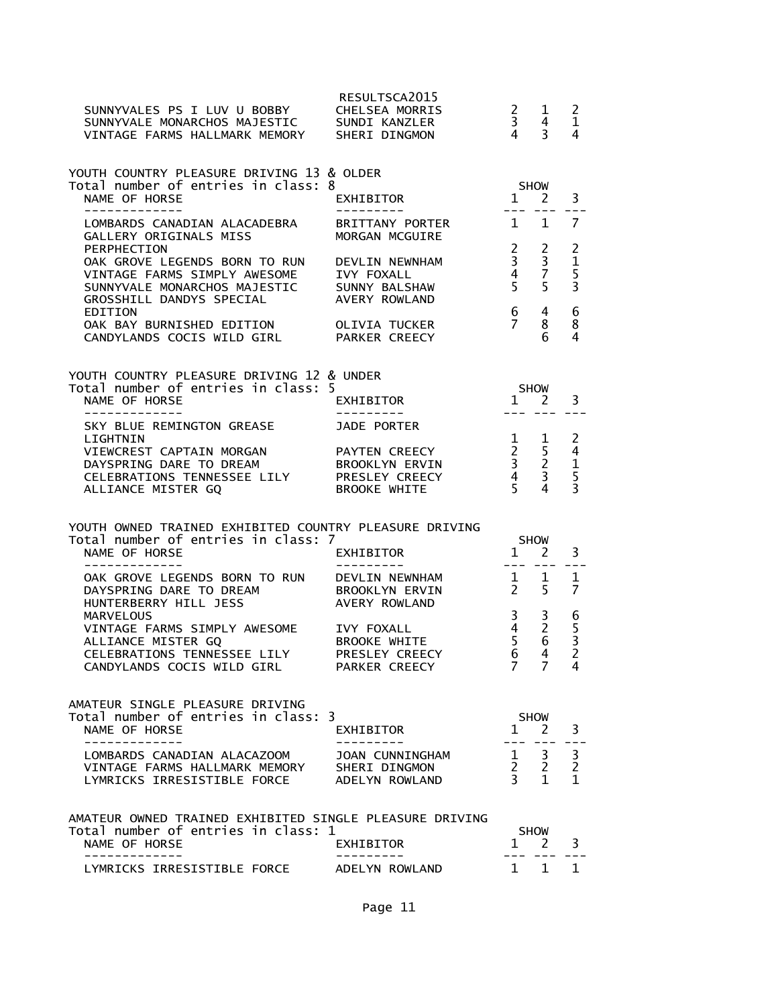| SUNNYVALES PS I LUV U BOBBY<br>SUNNYVALES PS I LUV U BOBBY      CHELSEA MORRIS<br>SUNNYVALE MONARCHOS MAJESTIC     SUNDI KANZLER<br>VINTAGE FARMS HALLMARK MEMORY SHERI DINGMON | RESULTSCA2015                                                  | $\begin{array}{ccc} 2 & 1 \\ 3 & 4 \\ 4 & 3 \end{array}$                                        |                                                                                                                                                                                                                                                                                                                                                                                              | $\overline{c}$<br>$\mathbf{1}$<br>4                               |
|---------------------------------------------------------------------------------------------------------------------------------------------------------------------------------|----------------------------------------------------------------|-------------------------------------------------------------------------------------------------|----------------------------------------------------------------------------------------------------------------------------------------------------------------------------------------------------------------------------------------------------------------------------------------------------------------------------------------------------------------------------------------------|-------------------------------------------------------------------|
| YOUTH COUNTRY PLEASURE DRIVING 13 & OLDER<br>Total number of entries in class: 8<br>NAME OF HORSE<br>--------------                                                             | EXHIBITOR                                                      | $1 \t2$                                                                                         | SHOW                                                                                                                                                                                                                                                                                                                                                                                         | 3                                                                 |
| LOMBARDS CANADIAN ALACADEBRA<br>GALLERY ORIGINALS MISS                                                                                                                          | ----------<br>BRITTANY PORTER<br>MORGAN MCGUIRE                | $1 \quad 1$                                                                                     | --- ---                                                                                                                                                                                                                                                                                                                                                                                      | $\overline{7}$                                                    |
| PERPHECTION<br>OAK GROVE LEGENDS BORN TO RUN<br>VINTAGE FARMS SIMPLY AWESOME<br>SUNNYVALE MONARCHOS MAJESTIC SUNNY BALSHAW<br>GROSSHILL DANDYS SPECIAL                          | DEVLIN NEWNHAM<br><b>IVY FOXALL</b><br>AVERY ROWLAND           | $\frac{2}{3}$<br>$\begin{array}{cc} 4 & 7 \\ 5 & 5 \end{array}$                                 | $\frac{2}{3}$                                                                                                                                                                                                                                                                                                                                                                                | 2<br>$\begin{array}{c} 1 \\ 5 \\ 3 \end{array}$                   |
| EDITION<br>OAK BAY BURNISHED EDITION OLIVIA TUCKER<br>CANDYLANDS COCIS WILD GIRL PARKER CREECY                                                                                  |                                                                | $6\degree$<br>$7^{\circ}$                                                                       | 4<br>8<br>6                                                                                                                                                                                                                                                                                                                                                                                  | 6<br>8<br>$\overline{4}$                                          |
| YOUTH COUNTRY PLEASURE DRIVING 12 & UNDER<br>Total number of entries in class: 5                                                                                                |                                                                | <b>SHOW</b>                                                                                     |                                                                                                                                                                                                                                                                                                                                                                                              |                                                                   |
| NAME OF HORSE<br>_____________                                                                                                                                                  | EXHIBITOR                                                      | $1 \quad 2$                                                                                     | $\frac{1}{2} \frac{1}{2} \frac{1}{2} \frac{1}{2} \frac{1}{2} \frac{1}{2} \frac{1}{2} \frac{1}{2} \frac{1}{2} \frac{1}{2} \frac{1}{2} \frac{1}{2} \frac{1}{2} \frac{1}{2} \frac{1}{2} \frac{1}{2} \frac{1}{2} \frac{1}{2} \frac{1}{2} \frac{1}{2} \frac{1}{2} \frac{1}{2} \frac{1}{2} \frac{1}{2} \frac{1}{2} \frac{1}{2} \frac{1}{2} \frac{1}{2} \frac{1}{2} \frac{1}{2} \frac{1}{2} \frac{$ | 3                                                                 |
| SKY BLUE REMINGTON GREASE<br>LIGHTNIN<br>VIEWCREST CAPTAIN MORGAN<br>DAYSPRING DARE TO DREAM<br>CELEBRATIONS TENNESSEE LILY PRESLEY CREECY<br>ALLIANCE MISTER GQ                | JADE PORTER<br>PAYTEN CREECY<br>BROOKLYN ERVIN<br>BROOKE WHITE | $\begin{array}{cccc} 1 & 1 & 2 \\ 2 & 5 & 4 \\ 3 & 2 & 1 \\ 4 & 3 & 5 \\ 5 & 4 & 3 \end{array}$ |                                                                                                                                                                                                                                                                                                                                                                                              |                                                                   |
| YOUTH OWNED TRAINED EXHIBITED COUNTRY PLEASURE DRIVING<br>Total number of entries in class: 7<br>NAME OF HORSE                                                                  | EXHIBITOR                                                      |                                                                                                 | SHOW<br>$1 \quad 2$                                                                                                                                                                                                                                                                                                                                                                          | 3                                                                 |
| --------------<br>OAK GROVE LEGENDS BORN TO RUN DEVLIN NEWNHAM<br>DAYSPRING DARE TO DREAM BROOKLYN ERVIN<br>HUNTERBERRY HILL JESS                                               | AVERY ROWLAND                                                  | $\begin{array}{cc} 1 & 1 \\ 2 & 5 \end{array}$                                                  |                                                                                                                                                                                                                                                                                                                                                                                              | 1<br>$\overline{7}$                                               |
| <b>MARVELOUS</b><br>VINTAGE FARMS SIMPLY AWESOME IVY FOXALL<br>ALLIANCE MISTER GQ<br>CELEBRATIONS TENNESSEE LILY<br>CANDYLANDS COCIS WILD GIRL PARKER CREECY                    | BROOKE WHITE<br>PRESLEY CREECY                                 | 3 <sup>7</sup><br>$\frac{4}{5}$<br>6<br>$7^{\circ}$                                             | 3<br>$\overline{2}$<br>6<br>4<br>7                                                                                                                                                                                                                                                                                                                                                           | $\begin{array}{c} 6 \\ 5 \\ 3 \end{array}$<br>$\overline{2}$<br>4 |
| AMATEUR SINGLE PLEASURE DRIVING<br>Total number of entries in class: 3<br>NAME OF HORSE                                                                                         | EXHIBITOR                                                      |                                                                                                 | <b>SHOW</b><br>$1 \quad 2$                                                                                                                                                                                                                                                                                                                                                                   | 3                                                                 |
| LOMBARDS CANADIAN ALACAZOOM<br>VINTAGE FARMS HALLMARK MEMORY SHERI DINGMON<br>LYMRICKS IRRESISTIBLE FORCE ADELYN ROWLAND                                                        | JOAN CUNNINGHAM                                                | $\begin{array}{ccc} 1 & 3 \\ 2 & 2 \\ 3 & 1 \end{array}$                                        |                                                                                                                                                                                                                                                                                                                                                                                              | $\begin{array}{c} 3 \\ 2 \\ 1 \end{array}$                        |
| AMATEUR OWNED TRAINED EXHIBITED SINGLE PLEASURE DRIVING<br>Total number of entries in class: 1<br>NAME OF HORSE                                                                 | <b>EXHIBITOR</b>                                               | $\mathbf{1}$                                                                                    | <b>SHOW</b><br>2                                                                                                                                                                                                                                                                                                                                                                             | 3                                                                 |
| LYMRICKS IRRESISTIBLE FORCE ADELYN ROWLAND                                                                                                                                      |                                                                |                                                                                                 | 1 1                                                                                                                                                                                                                                                                                                                                                                                          | 1                                                                 |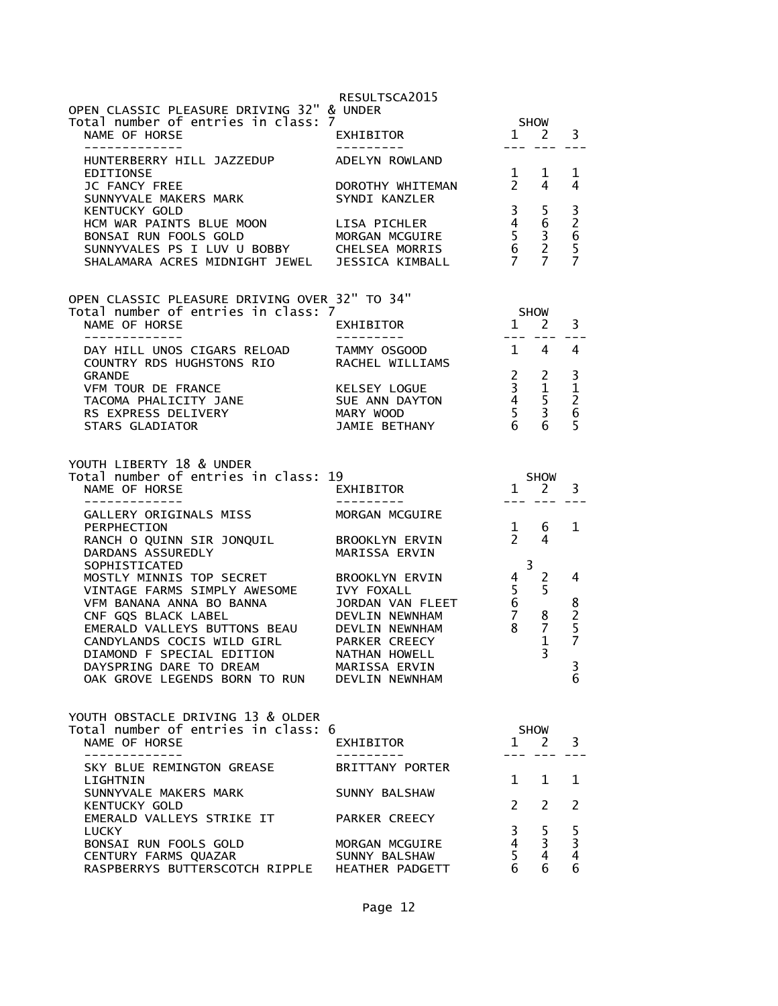| OPEN CLASSIC PLEASURE DRIVING 32" & UNDER<br>Total number of entries in class: 7<br>NAME OF HORSE                                                                                                                                                                                                             | RESULTSCA2015<br>EXHIBITOR                                                   |                                                                               | <b>SHOW</b><br>$1 \nightharpoonup 2$                                                      | 3                                                                      |
|---------------------------------------------------------------------------------------------------------------------------------------------------------------------------------------------------------------------------------------------------------------------------------------------------------------|------------------------------------------------------------------------------|-------------------------------------------------------------------------------|-------------------------------------------------------------------------------------------|------------------------------------------------------------------------|
| -------------<br>HUNTERBERRY HILL JAZZEDUP<br>EDITIONSE<br>JC FANCY FREE<br>SUNNYVALE MAKERS MARK<br>KENTUCKY GOLD<br>HCM WAR PAINTS BLUE MOON LISA PICHLER<br>BONSAI RUN FOOLS GOLD       MORGAN MCGUIRE<br>SUNNYVALES PS I LUV U BOBBY     CHELSEA MORRIS<br>SHALAMARA ACRES MIDNIGHT JEWEL JESSICA KIMBALL | ----------<br>ADELYN ROWLAND<br>1 1<br>DOROTHY WHITEMAN 2 4<br>SYNDI KANZLER |                                                                               | $\begin{array}{cc} 3 & 5 \\ 4 & 6 \\ 5 & 3 \\ 6 & 2 \\ 7 & 7 \end{array}$                 | 1<br>4<br>$\frac{3}{2}$ 6<br>5<br>7                                    |
| OPEN CLASSIC PLEASURE DRIVING OVER 32" TO 34"<br>Total number of entries in class: 7<br>NAME OF HORSE<br>-------------                                                                                                                                                                                        | EXHIBITOR<br>---------                                                       | <b>SHOW</b>                                                                   | $1 \quad 2$                                                                               | 3                                                                      |
| DAY HILL UNOS CIGARS RELOAD TAMMY OSGOOD<br>COUNTRY RDS HUGHSTONS RIO       RACHEL WILLIAMS<br><b>GRANDE</b><br>VFM TOUR DE FRANCE<br>TACOMA PHALICITY JANE<br>RS EXPRESS DELIVERY<br>THE CLIENTIFY CONTROL MARY WOOD<br>STARS GLADIATOR                                                                      | KELSEY LOGUE<br>SUE ANN DAYTON<br>JAMIE BETHANY                              |                                                                               | $1 \quad 4$<br>$\begin{array}{ccc} 2 & 2 \\ 3 & 1 \\ 4 & 5 \\ 5 & 3 \\ 6 & 6 \end{array}$ | $\overline{4}$<br>3<br>$\begin{array}{c} 1 \\ 2 \\ 6 \end{array}$<br>5 |
| YOUTH LIBERTY 18 & UNDER<br>Total number of entries in class: 19<br>NAME OF HORSE                                                                                                                                                                                                                             | <b>EXHIBITOR</b>                                                             |                                                                               | SHOW<br>$1\quad 2$                                                                        | 3                                                                      |
| --------------<br>GALLERY ORIGINALS MISS<br>PERPHECTION<br>RANCH O QUINN SIR JONQUIL<br>DARDANS ASSUREDLY<br>SOPHISTICATED<br>MOSTLY MINNIS TOP SECRET BROOKLYN ERVIN<br>VINTAGE FARMS SIMPLY AWESOME                                                                                                         | ----------<br>MORGAN MCGUIRE<br>BROOKLYN ERVIN<br>MARISSA ERVIN              | $\frac{1}{2}$<br>$\overline{3}$<br>$\begin{array}{c} 4 \\ 5 \\ 6 \end{array}$ | --- --- ---<br>6<br>4<br>2<br>5                                                           | 1<br>4                                                                 |
| VINTAGE FARMS SIMPLE CHECK.<br>VFM BANANA ANNA BO BANNA VIOLET DEVLIN NEWNHAM<br>EMERALD VALLEYS BUTTONS BEAU DEVLIN NEWNHAM<br>CANDYLANDS COCIS WILD GIRL PARKER CREECY<br>DIAMOND F SPECIAL EDITION NATHAN HOWELL<br>DAYSPRING DARE TO DREAM<br>OAK GROVE LEGENDS BORN TO RUN DEVLIN NEWNHAM                | JORDAN VAN FLEET<br>MARISSA ERVIN                                            | $\frac{0}{7}$                                                                 | 8<br>$\overline{7}$<br>$\mathbf 1$<br>$\overline{3}$                                      | 8257<br>J.<br>6                                                        |
| YOUTH OBSTACLE DRIVING 13 & OLDER<br>Total number of entries in class: 6<br>NAME OF HORSE<br>-------------                                                                                                                                                                                                    | EXHIBITOR<br>. _ _ _ _ _ _ _ _                                               | SHOW<br>$\mathbf{1}$                                                          | <sup>2</sup>                                                                              | 3                                                                      |
| SKY BLUE REMINGTON GREASE<br>LIGHTNIN                                                                                                                                                                                                                                                                         | BRITTANY PORTER                                                              | $1 \quad$                                                                     | $\mathbf{1}$                                                                              | 1                                                                      |
| SUNNYVALE MAKERS MARK<br>KENTUCKY GOLD                                                                                                                                                                                                                                                                        | SUNNY BALSHAW                                                                | $2^{\circ}$                                                                   | 2                                                                                         | 2                                                                      |
| EMERALD VALLEYS STRIKE IT<br>LUCKY<br>BONSAI RUN FOOLS GOLD<br>CENTURY FARMS QUAZAR<br>RASPBERRYS BUTTERSCOTCH RIPPLE HEATHER PADGETT                                                                                                                                                                         | PARKER CREECY<br>MORGAN MCGUIRE<br>SUNNY BALSHAW                             | $\overline{3}$<br>$4 \quad$<br>5 <sup>1</sup><br>6                            | 5<br>3<br>$\overline{4}$<br>6                                                             | 5<br>3<br>4<br>6                                                       |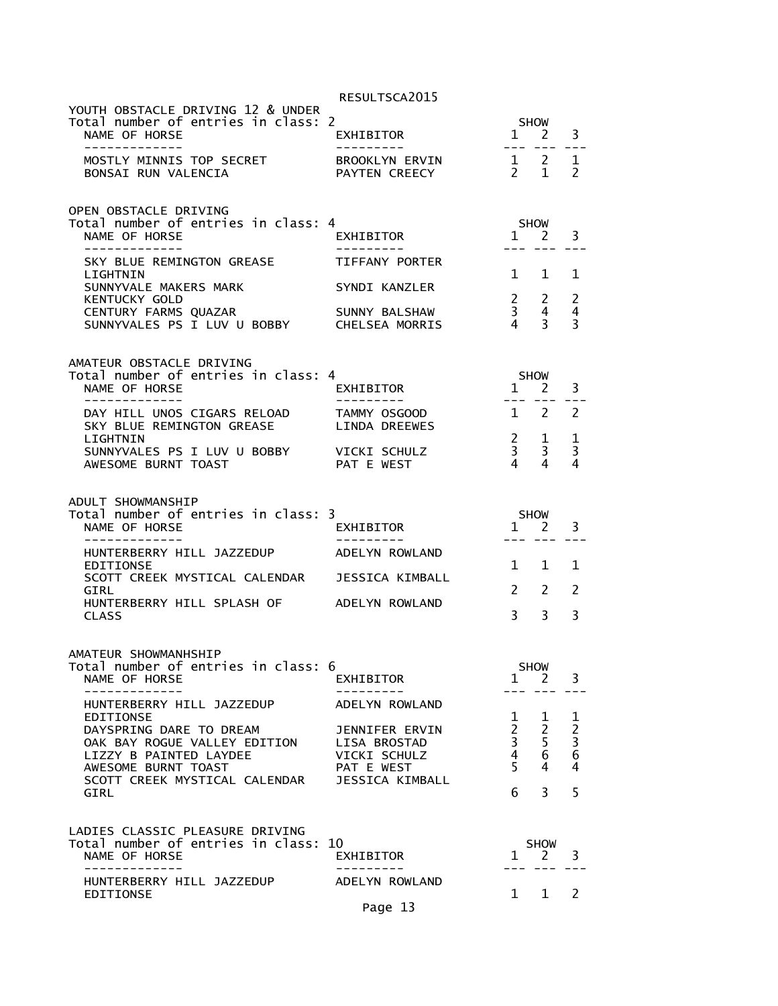|                                                                                                            | RESULTSCA2015                   |                                                                   |                                  |                                                   |
|------------------------------------------------------------------------------------------------------------|---------------------------------|-------------------------------------------------------------------|----------------------------------|---------------------------------------------------|
| YOUTH OBSTACLE DRIVING 12 & UNDER<br>Total number of entries in class: 2<br>NAME OF HORSE<br>------------- | EXHIBITOR<br>----------         |                                                                   | SHOW<br>$1 \quad 2$              | 3<br>---                                          |
| MOSTLY MINNIS TOP SECRET<br>BONSAI RUN VALENCIA                                                            | BROOKLYN ERVIN<br>PAYTEN CREECY | $1 \quad 2$<br>$2 \quad 1$                                        |                                  | 1<br>$\mathcal{P}$                                |
| OPEN OBSTACLE DRIVING<br>Total number of entries in class: 4<br>NAME OF HORSE<br>-------------             | EXHIBITOR<br>----------         | $1 \quad 2$                                                       | <b>SHOW</b>                      | 3                                                 |
| SKY BLUE REMINGTON GREASE<br>LIGHTNIN                                                                      | TIFFANY PORTER                  | $\mathbf{1}$                                                      | $\mathbf{1}$                     | 1                                                 |
| SUNNYVALE MAKERS MARK<br><b>KENTUCKY GOLD</b>                                                              | SYNDI KANZLER                   | $\begin{matrix} 2 & 2 \\ 3 & 4 \end{matrix}$                      |                                  | 2                                                 |
| CENTURY FARMS QUAZAR<br>SUNNYVALES PS I LUV U BOBBY CHELSEA MORRIS                                         | SUNNY BALSHAW                   | $\overline{4}$                                                    | $\overline{4}$<br>3 <sup>7</sup> | $\overline{4}$<br>3                               |
| AMATEUR OBSTACLE DRIVING<br>Total number of entries in class: 4                                            |                                 |                                                                   | SHOW                             |                                                   |
| NAME OF HORSE<br>_____________                                                                             | EXHIBITOR<br>----------         | $1 \quad 2$<br>$\frac{1}{2}$                                      | $\frac{1}{2}$                    | 3                                                 |
| DAY HILL UNOS CIGARS RELOAD<br>SKY BLUE REMINGTON GREASE                                                   | TAMMY OSGOOD<br>LINDA DREEWES   |                                                                   | $1 \quad 2$                      | 2                                                 |
| LIGHTNIN<br>SUNNYVALES PS I LUV U BOBBY<br>AWESOME BURNT TOAST                                             | VICKI SCHULZ<br>PAT E WEST      | $\frac{2}{3}$<br>$\overline{4}$                                   | 1<br>$\overline{3}$<br>4         | 1<br>3<br>4                                       |
| ADULT SHOWMANSHIP                                                                                          |                                 |                                                                   |                                  |                                                   |
| Total number of entries in class: 3<br>NAME OF HORSE                                                       | EXHIBITOR                       | $1 \quad 2$                                                       | <b>SHOW</b>                      |                                                   |
|                                                                                                            | ----------                      |                                                                   | --- ---                          | 3<br>$= - -$                                      |
| HUNTERBERRY HILL JAZZEDUP ADELYN ROWLAND<br>EDITIONSE                                                      |                                 | $\mathbf{1}$                                                      | $\mathbf{1}$                     | 1                                                 |
| SCOTT CREEK MYSTICAL CALENDAR JESSICA KIMBALL<br>GIRL<br>HUNTERBERRY HILL SPLASH OF ADELYN ROWLAND         |                                 | $\mathbf{2}$                                                      | $\mathcal{P}$                    | 2                                                 |
| <b>CLASS</b>                                                                                               |                                 | $\overline{3}$                                                    | $\overline{3}$                   | 3                                                 |
| AMATEUR SHOWMANHSHIP<br>Total number of entries in class: 6                                                |                                 |                                                                   | SHOW                             |                                                   |
| NAME OF HORSE<br>-----------                                                                               | EXHIBITOR<br>---------          |                                                                   | $1 \quad 2$                      | 3                                                 |
| HUNTERBERRY HILL JAZZEDUP<br>EDITIONSE                                                                     | ADELYN ROWLAND                  | $\mathbf{1}$                                                      | $\mathbf{1}$                     |                                                   |
| DAYSPRING DARE TO DREAM                                                                                    | JENNIFER ERVIN                  | $2^{\circ}$                                                       | $\overline{2}$                   |                                                   |
| OAK BAY ROGUE VALLEY EDITION<br>LIZZY B PAINTED LAYDEE                                                     | LISA BROSTAD<br>VICKI SCHULZ    |                                                                   | 5 <sup>1</sup><br>6              | $\begin{array}{c}\n1 \\ 2 \\ 3 \\ 6\n\end{array}$ |
| AWESOME BURNT TOAST                                                                                        | PAT E WEST                      | $\begin{array}{c} 2 \\ 3 \\ 4 \\ 5 \end{array}$<br>5 <sup>1</sup> | 4                                | $\overline{4}$                                    |
| SCOTT CREEK MYSTICAL CALENDAR<br><b>GIRL</b>                                                               | JESSICA KIMBALL                 | 6                                                                 | $\overline{3}$                   | 5                                                 |
| LADIES CLASSIC PLEASURE DRIVING                                                                            |                                 |                                                                   |                                  |                                                   |
| Total number of entries in class: 10<br>NAME OF HORSE<br>-------------                                     | EXHIBITOR                       | $\mathbf{1}$                                                      | <b>SHOW</b><br><sup>2</sup>      | 3                                                 |
| HUNTERBERRY HILL JAZZEDUP<br>EDITIONSE                                                                     | ADELYN ROWLAND                  |                                                                   | 1 1                              | 2                                                 |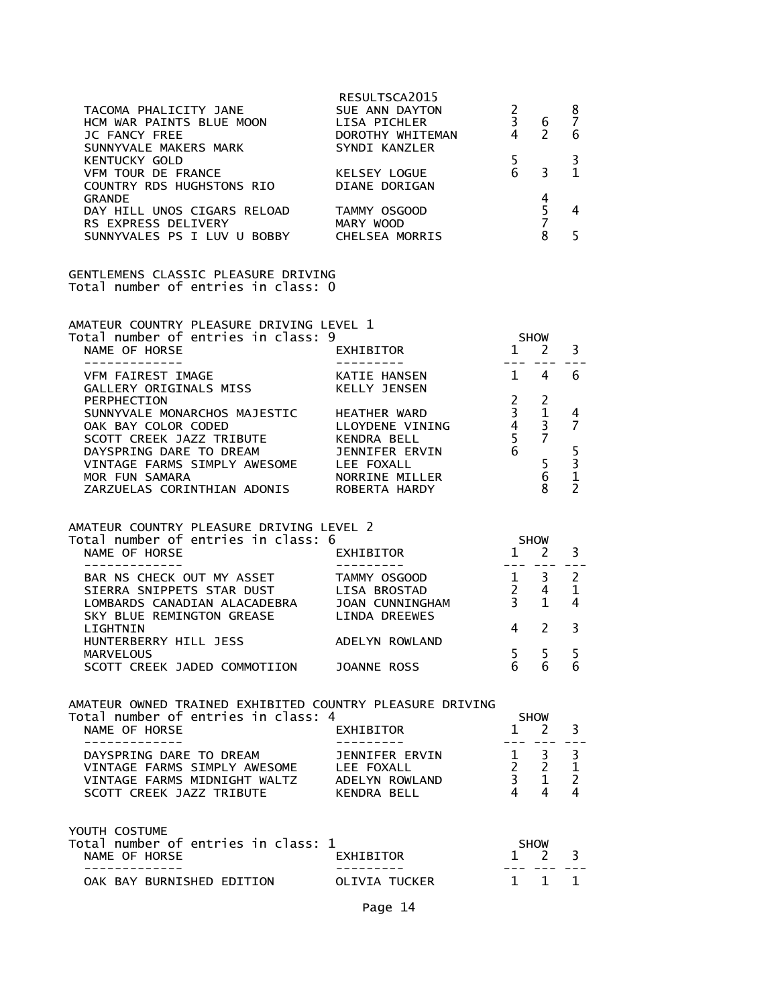| TACOMA PHALICITY JANE<br>HCM WAR PAINTS BLUE MOON<br>JC FANCY FREE<br>SUNNYVALE MAKERS MARK<br>KENTUCKY GOLD<br>COROTHY WHITEMAN<br>COROTHY WHITEMAN<br>COROTHY WHITEMAN<br>COROTHY WHITEMAN<br>COROTHY WHITEMAN<br>COROTHY WHITEMAN<br>COROTHY WHIT |                |                 |                                                                                      |                               |
|------------------------------------------------------------------------------------------------------------------------------------------------------------------------------------------------------------------------------------------------------|----------------|-----------------|--------------------------------------------------------------------------------------|-------------------------------|
| EXAMPLE SOLUTION AND THE SERVICE THE STANDARD STANDARD STANDARD STANDARD STANDARD STANDARD STANDARD STANDARD S<br>THE SOLUNTRY RDS HUGHSTONS RIO<br>STANDE STANDE STANDE STANDE STANDE STANDE<br>STANDE STANDE STANDE STANDE STANDE                  |                |                 |                                                                                      | 3<br>$\mathbf{1}$             |
| COUNTRY RDS HUGHSTONS RIO<br>GRANDE<br>DAY HILL UNOS CIGARS RELOAD TAMMY OSGOOD 5<br>RS EXPRESS DELIVERY MARY WOOD 5<br>SUNNYVALES PS I LUV U BOBBY CHELSEA MORRIS 8                                                                                 |                |                 |                                                                                      | 4<br>5                        |
| GENTLEMENS CLASSIC PLEASURE DRIVING<br>Total number of entries in class: 0                                                                                                                                                                           |                |                 |                                                                                      |                               |
| AMATEUR COUNTRY PLEASURE DRIVING LEVEL 1<br>Total number of entries in class: 9<br>NAME OF HORSE<br>VFM FAIREST IMAGE<br>GALLERY ORIGINALS MISS<br>RELLY JENSEN<br>RELLY JENSEN<br>PERPUBLICATION                                                    |                |                 |                                                                                      |                               |
|                                                                                                                                                                                                                                                      |                |                 |                                                                                      |                               |
|                                                                                                                                                                                                                                                      |                |                 |                                                                                      |                               |
| PERPHECTION<br>SUNNYVALE MONARCHOS MAJESTIC<br>OAK BAY COLOR CODED<br>SCOTT CREEK JAZZ TRIBUTE<br>DAYSPRING DARE TO DREAM<br>DAYSPRING DARE TO DREAM<br>VINTAGE FARMS SIMPLY AWESOME<br>MOR FUN SAMARA<br>MOR FUN SAMARA<br>MOR FUN SAMARA<br>ZARZ   |                |                 |                                                                                      |                               |
|                                                                                                                                                                                                                                                      |                |                 |                                                                                      |                               |
| AMATEUR COUNTRY PLEASURE DRIVING LEVEL 2<br>Total number of entries in class: 6<br>NAME OF HORSE<br>EXHIBITOR 1 2 3<br>BAR NS CHECK OUT MY ASSET<br>BAR NS CHECK OUT MY ASSET<br>LOMBARDS CANADIAN ALACADEBRA JOAN CUNNINGHAM 3 1 4<br>LOMBA         |                |                 |                                                                                      |                               |
| LIGHTNIN<br>HUNTERBERRY HILL JESS ADELYN ROWLAND                                                                                                                                                                                                     |                |                 | $4\quad 2$                                                                           | 3                             |
| MARVELOUS<br>SCOTT CREEK JADED COMMOTIION                                                                                                                                                                                                            | JOANNE ROSS    | $5\overline{)}$ | $\overline{\phantom{0}}$<br>6 6                                                      | $\overline{\phantom{0}}$<br>6 |
| AMATEUR OWNED TRAINED EXHIBITED COUNTRY PLEASURE DRIVING<br>Total number of entries in class: 4<br>NAME OF HORSE<br>-------------                                                                                                                    | EXHIBITOR      | $\mathbf{1}$    | SHOW<br><sup>2</sup>                                                                 | 3                             |
| DAYSPRING DARE TO DREAM<br>VINTAGE FARMS SIMPLY AWESOME LEE FOXALL<br>VINTAGE FARMS MIDNIGHT WALTZ     ADELYN ROWLAND<br>SCOTT CREEK JAZZ TRIBUTE         KENDRA BELL                                                                                | JENNIFER ERVIN |                 | $\begin{array}{ccc} 1 & 3 & 3 \\ 2 & 2 & 1 \end{array}$<br>$3 \t1 \t2$<br>$4\quad 4$ | 4                             |
| YOUTH COSTUME<br>Total number of entries in class: 1<br>NAME OF HORSE                                                                                                                                                                                | EXHIBITOR      |                 | <b>SHOW</b><br>$1 \quad 2$                                                           | 3                             |
| OAK BAY BURNISHED EDITION                                                                                                                                                                                                                            | OLIVIA TUCKER  | 1               | 1 1                                                                                  |                               |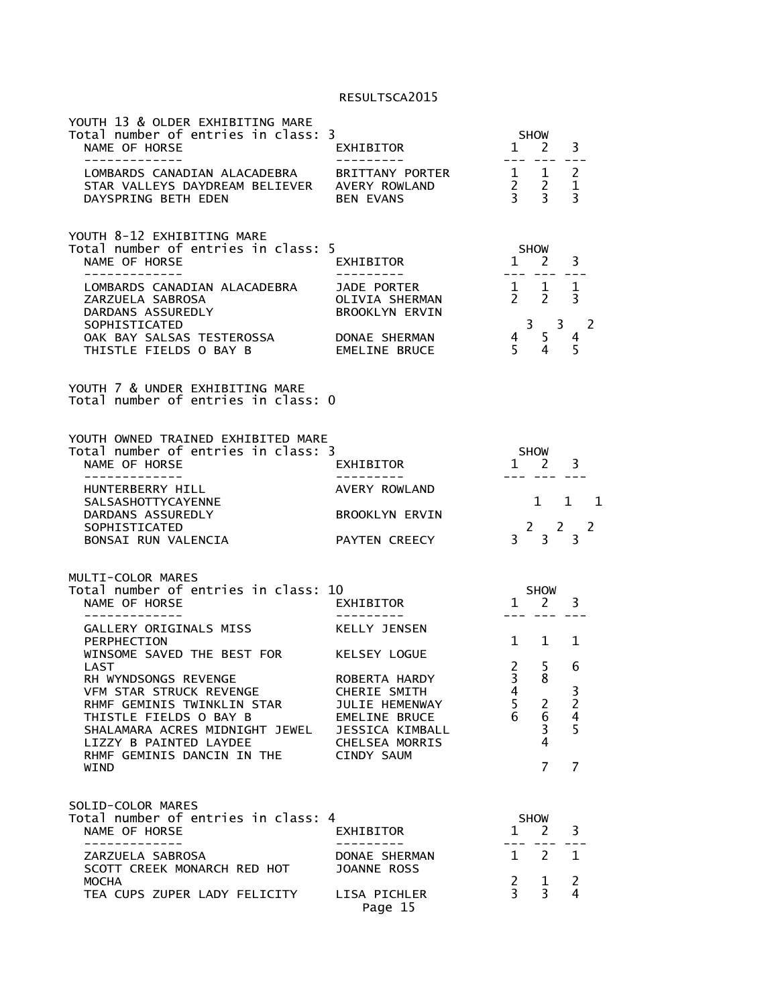| YOUTH 13 & OLDER EXHIBITING MARE<br>Total number of entries in class: 3<br>NAME OF HORSE<br>---------- | EXHIBITOR<br>.                                         | <b>SHOW</b><br>2<br>$1 \quad$                                                            | 3                                          |
|--------------------------------------------------------------------------------------------------------|--------------------------------------------------------|------------------------------------------------------------------------------------------|--------------------------------------------|
| LOMBARDS CANADIAN ALACADEBRA<br>STAR VALLEYS DAYDREAM BELIEVER<br>DAYSPRING BETH EDEN                  | BRITTANY PORTER<br>AVERY ROWLAND<br><b>BEN EVANS</b>   | $\mathbf{1}$<br>1<br>$\overline{2}$<br>$\frac{2}{3}$<br>$\overline{3}$<br>$\overline{3}$ | 2<br>$\mathbf{1}$<br>$\overline{3}$        |
| YOUTH 8-12 EXHIBITING MARE<br>Total number of entries in class: 5<br>NAME OF HORSE                     | EXHIBITOR                                              | SHOW<br>$1 \quad 2$<br>--- --- <b>-</b>                                                  | 3<br>$- - -$                               |
| LOMBARDS CANADIAN ALACADEBRA<br>ZARZUELA SABROSA<br>DARDANS ASSUREDLY<br>SOPHISTICATED                 | JADE PORTER<br>OLIVIA SHERMAN<br><b>BROOKLYN ERVIN</b> | $1 \quad 1$<br>$\overline{2}$<br>$2^{\circ}$<br>$\overline{3}$<br>$\overline{3}$         | 1<br>$\overline{3}$<br>- 2                 |
| OAK BAY SALSAS TESTEROSSA<br>THISTLE FIELDS O BAY B                                                    | DONAE SHERMAN<br>EMELINE BRUCE                         | 5<br>4<br>5.<br>4                                                                        | 4<br>5                                     |
| YOUTH 7 & UNDER EXHIBITING MARE<br>Total number of entries in class: 0                                 |                                                        |                                                                                          |                                            |
| YOUTH OWNED TRAINED EXHIBITED MARE<br>Total number of entries in class: 3<br>NAME OF HORSE             | EXHIBITOR                                              | SHOW<br>$1 \quad 2$                                                                      | 3                                          |
| --------------<br>HUNTERBERRY HILL<br><b>SALSASHOTTYCAYENNE</b><br>DARDANS ASSUREDLY                   | AVERY ROWLAND<br><b>BROOKLYN ERVIN</b>                 | 1<br>1                                                                                   | $\mathbf{1}$                               |
| SOPHISTICATED<br>BONSAI RUN VALENCIA                                                                   | PAYTEN CREECY                                          | $\overline{2}$<br>$\mathbf{2}$<br>$3 \overline{3}$                                       | 2<br>$\overline{3}$                        |
| MULTI-COLOR MARES<br>Total number of entries in class: 10<br>NAME OF HORSE                             | EXHIBITOR                                              | <b>SHOW</b><br>2<br>$\mathbf{1}$                                                         | 3                                          |
| -------------                                                                                          | -------                                                |                                                                                          |                                            |
| GALLERY ORIGINALS MISS<br>PERPHECTION                                                                  | KELLY JENSEN                                           | 1<br>1                                                                                   | 1                                          |
| WINSOME SAVED THE BEST FOR<br>LAST                                                                     | KELSEY LOGUE                                           | $\overline{2}$<br>5                                                                      | 6                                          |
| RH WYNDSONGS REVENGE<br>VFM STAR STRUCK REVENGE                                                        | ROBERTA HARDY<br>CHERIE SMITH                          | 3<br>8<br>4                                                                              | 3                                          |
| RHMF GEMINIS TWINKLIN STAR<br>THISTLE FIELDS O BAY B<br>SHALAMARA ACRES MIDNIGHT JEWEL JESSICA KIMBALL | JULIE HEMENWAY<br>EMELINE BRUCE                        | 5<br>2<br>6<br>6<br>3                                                                    | $\begin{array}{c} 2 \\ 4 \\ 5 \end{array}$ |
| LIZZY B PAINTED LAYDEE<br>RHMF GEMINIS DANCIN IN THE                                                   | CHELSEA MORRIS<br><b>CINDY SAUM</b>                    | 4<br>7                                                                                   | 7                                          |
| WIND                                                                                                   |                                                        |                                                                                          |                                            |
| SOLID-COLOR MARES<br>Total number of entries in class: 4<br>NAME OF HORSE<br>-----------               | EXHIBITOR<br>---------                                 | <b>SHOW</b><br>$\mathbf{1}$<br>2                                                         | 3                                          |
| ZARZUELA SABROSA<br>SCOTT CREEK MONARCH RED HOT                                                        | DONAE SHERMAN<br><b>JOANNE ROSS</b>                    | $\overline{2}$<br>$\mathbf{1}$                                                           | $\mathbf{1}$                               |
| <b>MOCHA</b><br>TEA CUPS ZUPER LADY FELICITY LISA PICHLER                                              | Page 15                                                | $\overline{c}$<br>1<br>$\overline{3}$<br>3                                               | $\overline{c}$<br>4                        |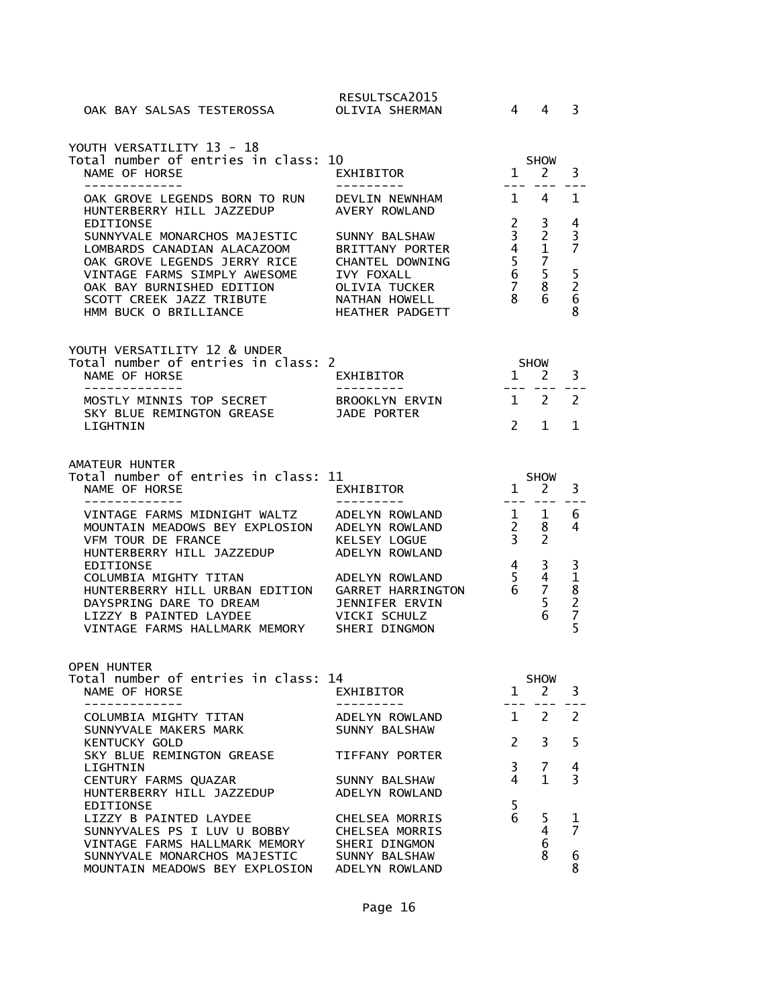| OAK BAY SALSAS TESTEROSSA                                                                                                                                                                                                         | RESULTSCA2015<br>OLIVIA SHERMAN                                                                                                      | 4                                                                          | 4                                                                   | 3                                 |
|-----------------------------------------------------------------------------------------------------------------------------------------------------------------------------------------------------------------------------------|--------------------------------------------------------------------------------------------------------------------------------------|----------------------------------------------------------------------------|---------------------------------------------------------------------|-----------------------------------|
| YOUTH VERSATILITY 13 - 18                                                                                                                                                                                                         |                                                                                                                                      |                                                                            |                                                                     |                                   |
| Total number of entries in class: 10<br>NAME OF HORSE<br>-------------                                                                                                                                                            | EXHIBITOR                                                                                                                            | $\mathbf{1}$                                                               | <b>SHOW</b><br><sup>2</sup>                                         | 3                                 |
| OAK GROVE LEGENDS BORN TO RUN<br>HUNTERBERRY HILL JAZZEDUP                                                                                                                                                                        | DEVLIN NEWNHAM<br>AVERY ROWLAND                                                                                                      | $\mathbf{1}$                                                               | 4                                                                   | 1                                 |
| <b>EDITIONSE</b><br>SUNNYVALE MONARCHOS MAJESTIC<br>LOMBARDS CANADIAN ALACAZOOM<br>OAK GROVE LEGENDS JERRY RICE<br>VINTAGE FARMS SIMPLY AWESOME<br>OAK BAY BURNISHED EDITION<br>SCOTT CREEK JAZZ TRIBUTE<br>HMM BUCK O BRILLIANCE | SUNNY BALSHAW<br><b>BRITTANY PORTER</b><br>CHANTEL DOWNING<br><b>IVY FOXALL</b><br>OLIVIA TUCKER<br>NATHAN HOWELL<br>HEATHER PADGETT | $2^{\circ}$<br>$\overline{3}$<br>$\frac{4}{5}$<br>6<br>$\overline{7}$<br>8 | 3<br>$\overline{2}$<br>$\mathbf 1$<br>$\overline{7}$<br>5<br>8<br>6 | 4<br>3<br>7<br>$\frac{5}{2}$<br>8 |
| YOUTH VERSATILITY 12 & UNDER<br>Total number of entries in class: 2                                                                                                                                                               |                                                                                                                                      |                                                                            | <b>SHOW</b>                                                         |                                   |
| NAME OF HORSE<br>-------------                                                                                                                                                                                                    | EXHIBITOR<br>----------                                                                                                              | $1 \quad$<br>$- -  -$                                                      | 2                                                                   | 3                                 |
| MOSTLY MINNIS TOP SECRET<br>SKY BLUE REMINGTON GREASE                                                                                                                                                                             | BROOKLYN ERVIN<br>JADE PORTER                                                                                                        | $\mathbf{1}$                                                               | 2                                                                   | $\mathcal{P}$                     |
| LIGHTNIN                                                                                                                                                                                                                          |                                                                                                                                      | $\mathcal{P}$                                                              | 1                                                                   | 1                                 |
| AMATEUR HUNTER<br>Total number of entries in class: 11<br>NAME OF HORSE<br>-----------                                                                                                                                            | EXHIBITOR                                                                                                                            | $\mathbf{1}$                                                               | <b>SHOW</b><br>$\mathbf{2}$                                         | 3                                 |
| VINTAGE FARMS MIDNIGHT WALTZ<br>MOUNTAIN MEADOWS BEY EXPLOSION<br>VFM TOUR DE FRANCE<br>HUNTERBERRY HILL JAZZEDUP                                                                                                                 | ---------<br>ADELYN ROWLAND<br>ADELYN ROWLAND<br>KELSEY LOGUE<br>ADELYN ROWLAND                                                      | $---$<br>$\mathbf{1}$<br>$2^{\circ}$<br>3 <sup>1</sup>                     | 1<br>8<br>2                                                         | 6<br>4                            |
| <b>EDITIONSE</b><br>COLUMBIA MIGHTY TITAN<br>HUNTERBERRY HILL URBAN EDITION<br>DAYSPRING DARE TO DREAM<br>LIZZY B PAINTED LAYDEE<br>VINTAGE FARMS HALLMARK MEMORY                                                                 | ADELYN ROWLAND<br><b>GARRET HARRINGTON</b><br><b>JENNIFER ERVIN</b><br>VICKI SCHULZ<br>SHERI DINGMON                                 | $\overline{4}$<br>5<br>6                                                   | 3<br>$\overline{4}$<br>$\overline{7}$<br>5<br>6                     | 318275                            |
| <b>OPEN HUNTER</b><br>Total number of entries in class: 14<br>NAME OF HORSE<br>_____________                                                                                                                                      | EXHIBITOR<br>----------                                                                                                              | $\mathbf{1}$<br>$  -$                                                      | <b>SHOW</b><br>2                                                    | 3                                 |
| COLUMBIA MIGHTY TITAN<br>SUNNYVALE MAKERS MARK                                                                                                                                                                                    | ADELYN ROWLAND<br>SUNNY BALSHAW                                                                                                      | $1 \quad$                                                                  | 2                                                                   | 2                                 |
| <b>KENTUCKY GOLD</b><br>SKY BLUE REMINGTON GREASE                                                                                                                                                                                 | TIFFANY PORTER                                                                                                                       | $\mathcal{P}$                                                              | 3                                                                   | 5                                 |
| LIGHTNIN<br>CENTURY FARMS QUAZAR                                                                                                                                                                                                  | SUNNY BALSHAW                                                                                                                        | $\overline{3}$<br>4                                                        | 7<br>$\mathbf{1}$                                                   | 4<br>3                            |
| HUNTERBERRY HILL JAZZEDUP                                                                                                                                                                                                         | ADELYN ROWLAND                                                                                                                       | 5                                                                          |                                                                     |                                   |
| EDITIONSE<br>LIZZY B PAINTED LAYDEE<br>SUNNYVALES PS I LUV U BOBBY<br>VINTAGE FARMS HALLMARK MEMORY<br>SUNNYVALE MONARCHOS MAJESTIC<br>MOUNTAIN MEADOWS BEY EXPLOSION ADELYN ROWLAND                                              | CHELSEA MORRIS<br>CHELSEA MORRIS<br>SHERI DINGMON<br>SUNNY BALSHAW                                                                   | 6                                                                          | 5<br>4<br>6<br>8                                                    | 1<br>7<br>6<br>8                  |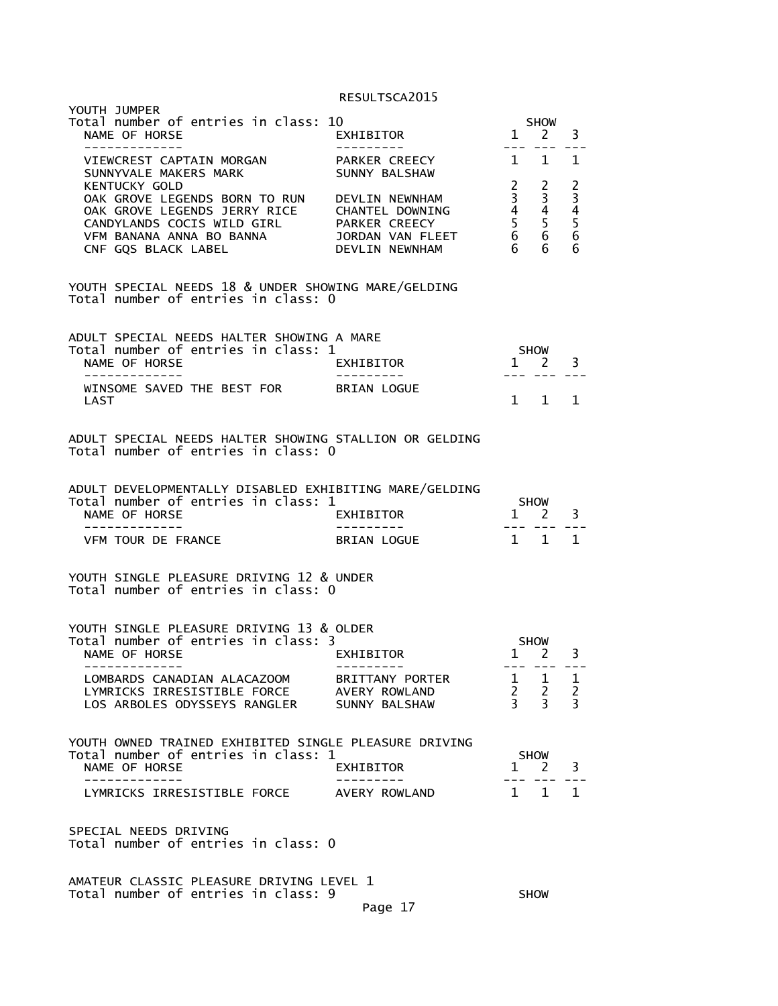| YOUTH JUMPER<br>Total number of entries in class: 10<br>NAME OF HORSE<br>--------------                                                                                                                                                       | EXHIBITOR<br>----------                                  | $\frac{1}{2}$                      | SHOW<br>$1 \quad 2$                              | 3                                   |
|-----------------------------------------------------------------------------------------------------------------------------------------------------------------------------------------------------------------------------------------------|----------------------------------------------------------|------------------------------------|--------------------------------------------------|-------------------------------------|
| VIEWCREST CAPTAIN MORGAN PARKER CREECY 1 1<br>SUNNYVALE MAKERS MARK                                                                                                                                                                           | SUNNY BALSHAW                                            |                                    |                                                  | 1                                   |
| <b>KENTUCKY GOLD</b><br>OAK GROVE LEGENDS BORN TO RUN DEVLIN NEWNHAM<br>OAK GROVE LEGENDS JERRY RICE<br>CANDYLANDS COCIS WILD GIRL PARKER CREECY 5<br>VFM BANANA ANNA BO BANNA JORDAN VAN FLEET 6 6<br>CNF GQS BLACK LABEL DEVLIN NEWNHAM 6 6 |                                                          | $\overline{2}$<br>$\overline{3}$   | 2<br>3<br>6 <sup>1</sup>                         | $2\overline{3}$<br>4<br>5<br>6<br>6 |
| YOUTH SPECIAL NEEDS 18 & UNDER SHOWING MARE/GELDING<br>Total number of entries in class: 0                                                                                                                                                    |                                                          |                                    |                                                  |                                     |
| ADULT SPECIAL NEEDS HALTER SHOWING A MARE<br>Total number of entries in class: 1<br>NAME OF HORSE<br>-------------                                                                                                                            | EXHIBITOR<br>__________                                  | <b>SHOW</b>                        | $1 \quad 2$<br>--- --- ---                       | $\overline{\mathbf{3}}$             |
| WINSOME SAVED THE BEST FOR BRIAN LOGUE<br>LAST                                                                                                                                                                                                |                                                          |                                    | $1 \quad 1$                                      | $\mathbf{1}$                        |
| ADULT SPECIAL NEEDS HALTER SHOWING STALLION OR GELDING<br>Total number of entries in class: 0                                                                                                                                                 |                                                          |                                    |                                                  |                                     |
| ADULT DEVELOPMENTALLY DISABLED EXHIBITING MARE/GELDING<br>Total number of entries in class: 1<br>NAME OF HORSE                                                                                                                                | EXHIBITOR                                                |                                    | <b>SHOW</b><br>1 2 3                             |                                     |
| -------------<br>VFM TOUR DE FRANCE                                                                                                                                                                                                           | __________<br><b>BRIAN LOGUE</b>                         | $- - - -$<br>$1 \quad 1$           |                                                  | 1                                   |
| YOUTH SINGLE PLEASURE DRIVING 12 & UNDER<br>Total number of entries in class: 0                                                                                                                                                               |                                                          |                                    |                                                  |                                     |
| YOUTH SINGLE PLEASURE DRIVING 13 & OLDER                                                                                                                                                                                                      |                                                          |                                    |                                                  |                                     |
| Total number of entries in class: 3<br>NAME OF HORSE<br>-------------                                                                                                                                                                         | EXHIBITOR                                                |                                    | SHOW<br>$1 \quad 2$<br>--- --- ---               | 3                                   |
| LOMBARDS CANADIAN ALACAZOOM<br>LYMRICKS IRRESISTIBLE FORCE<br>LOS ARBOLES ODYSSEYS RANGLER                                                                                                                                                    | <b>BRITTANY PORTER</b><br>AVERY ROWLAND<br>SUNNY BALSHAW | ı<br>$2^{\circ}$<br>$\overline{3}$ | $\mathbf{1}$<br>$\overline{2}$<br>$\overline{3}$ | 1<br>$\frac{2}{3}$                  |
| YOUTH OWNED TRAINED EXHIBITED SINGLE PLEASURE DRIVING<br>Total number of entries in class: 1<br>NAME OF HORSE                                                                                                                                 | EXHIBITOR                                                | $\mathbf{1}$                       | SHOW<br><sup>2</sup>                             | 3                                   |
| LYMRICKS IRRESISTIBLE FORCE                                                                                                                                                                                                                   | AVERY ROWLAND                                            | $1 \quad$                          | 1                                                | $\mathbf{1}$                        |
|                                                                                                                                                                                                                                               |                                                          |                                    |                                                  |                                     |
| SPECIAL NEEDS DRIVING<br>Total number of entries in class: 0                                                                                                                                                                                  |                                                          |                                    |                                                  |                                     |
| AMATEUR CLASSIC PLEASURE DRIVING LEVEL 1<br>Total number of entries in class: 9                                                                                                                                                               | Page 17                                                  |                                    | <b>SHOW</b>                                      |                                     |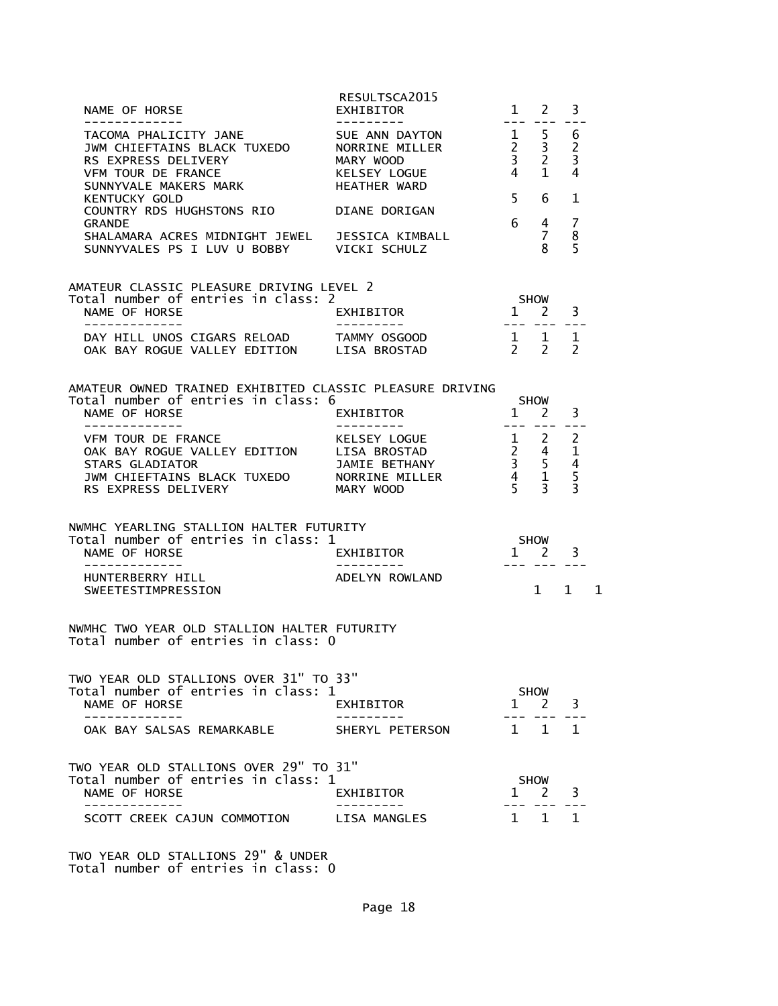| NAME OF HORSE                                                                                                                                                                                                                                  | RESULTSCA2015<br>EXHIBITOR                                    | $- - -$       | $1 \quad 2$                                       | 3                                                   |  |
|------------------------------------------------------------------------------------------------------------------------------------------------------------------------------------------------------------------------------------------------|---------------------------------------------------------------|---------------|---------------------------------------------------|-----------------------------------------------------|--|
| -------------<br>-------------<br>TACOMA PHALICITY JANE SUE ANN DAYTON 1 5<br>JWM CHIEFTAINS BLACK TUXEDO NORRINE MILLER 2 3<br>RS EXPRESS DELIVERY MARY WOOD 3 2<br>VEM TOUR DE FRANCE KELSEY LOGUE 4 1<br>SUNNYVALE MAKERS MARK HEATHER WARD |                                                               |               |                                                   | 6<br>$\overline{2}$<br>$\overline{\mathbf{3}}$<br>4 |  |
| KENTUCKY GOLD                                                                                                                                                                                                                                  |                                                               | $5^{\circ}$   | 6                                                 | $\mathbf{1}$                                        |  |
| COUNTRY RDS HUGHSTONS RIO DIANE DORIGAN<br><b>GRANDE</b>                                                                                                                                                                                       |                                                               |               | $6\frac{4}{5}$                                    | $\overline{7}$                                      |  |
| SHALAMARA ACRES MIDNIGHT JEWEL JESSICA KIMBALL<br>SUNNYVALES PS I LUV U BOBBY VICKI SCHULZ                                                                                                                                                     |                                                               | $\frac{7}{8}$ |                                                   | 8<br>5                                              |  |
| AMATEUR CLASSIC PLEASURE DRIVING LEVEL 2                                                                                                                                                                                                       |                                                               |               |                                                   |                                                     |  |
| Total number of entries in class: 2<br>NAME OF HORSE<br>-------------                                                                                                                                                                          | SHOW<br>1 2 3<br><b>EXHIBITOR</b><br>---------                |               |                                                   | - --- --- - <u>-</u> -                              |  |
| DAY HILL UNOS CIGARS RELOAD TAMMY OSGOOD<br>OAK BAY ROGUE VALLEY EDITION LISA BROSTAD                                                                                                                                                          | $\begin{array}{ccccc} & 1 & 1 & 1 \\ & 2 & 2 & 2 \end{array}$ |               |                                                   |                                                     |  |
| AMATEUR OWNED TRAINED EXHIBITED CLASSIC PLEASURE DRIVING<br>Total number of entries in class: 6<br>NAME OF HORSE                                                                                                                               | EXHIBITOR                                                     |               | SHOW<br>$\frac{1}{1}$ $\frac{2}{1}$ $\frac{3}{1}$ |                                                     |  |
| --------------                                                                                                                                                                                                                                 | ----------                                                    |               |                                                   |                                                     |  |
| NWMHC YEARLING STALLION HALTER FUTURITY<br>Total number of entries in class: 1                                                                                                                                                                 |                                                               |               |                                                   |                                                     |  |
|                                                                                                                                                                                                                                                | SHOW<br>1 2 3                                                 |               |                                                   |                                                     |  |
| SWEETESTIMPRESSION                                                                                                                                                                                                                             | ADELYN ROWLAND                                                |               |                                                   | $1 \quad 1 \quad 1$                                 |  |
| NWMHC TWO YEAR OLD STALLION HALTER FUTURITY<br>Total number of entries in class: 0                                                                                                                                                             |                                                               |               |                                                   |                                                     |  |
| TWO YEAR OLD STALLIONS OVER 31" TO 33"                                                                                                                                                                                                         |                                                               |               |                                                   |                                                     |  |
| Total number of entries in class: 1<br>NAME OF HORSE                                                                                                                                                                                           | EXHIBITOR                                                     | 1             | <b>SHOW</b><br>2                                  | 3                                                   |  |
| OAK BAY SALSAS REMARKABLE                                                                                                                                                                                                                      | SHERYL PETERSON                                               | 1 1           |                                                   | $\mathbf{1}$                                        |  |
| TWO YEAR OLD STALLIONS OVER 29" TO 31"<br>Total number of entries in class: 1<br>NAME OF HORSE                                                                                                                                                 | EXHIBITOR                                                     | $\mathbf{1}$  | <b>SHOW</b><br>2                                  | 3                                                   |  |
| . _ _ _ _ _ _ _ _ _ _<br>SCOTT CREEK CAJUN COMMOTION                                                                                                                                                                                           | LISA MANGLES                                                  | 1             | 1                                                 | 1                                                   |  |
| TWO YEAR OLD STALLIONS 29" & UNDER                                                                                                                                                                                                             |                                                               |               |                                                   |                                                     |  |

Page 18

Total number of entries in class: 0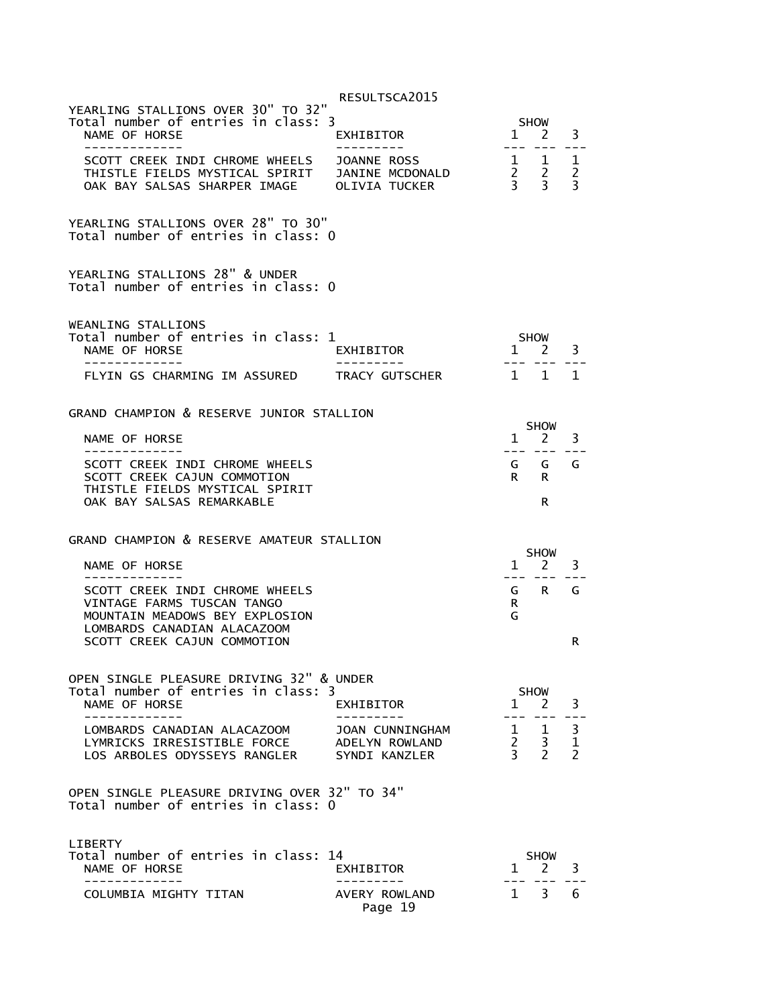|                                                                                                                                                             | RESULTSCA2015                                      |                                    |                                                          |                                                           |
|-------------------------------------------------------------------------------------------------------------------------------------------------------------|----------------------------------------------------|------------------------------------|----------------------------------------------------------|-----------------------------------------------------------|
| YEARLING STALLIONS OVER 30" TO 32"<br>Total number of entries in class: 3<br>NAME OF HORSE                                                                  | EXHIBITOR                                          |                                    | SHOW<br>$1 \quad 2$                                      | 3                                                         |
| -------------<br>SCOTT CREEK INDI CHROME WHEELS JOANNE ROSS<br>THISTLE FIELDS MYSTICAL SPIRIT JANINE MCDONALD<br>OAK BAY SALSAS SHARPER IMAGE OLIVIA TUCKER |                                                    | $---$                              | $\begin{array}{ccc} 1 & 1 \\ 2 & 2 \\ 3 & 3 \end{array}$ | $- -$<br>$\mathbf{1}$<br>$\overline{2}$<br>$\overline{3}$ |
| YEARLING STALLIONS OVER 28" TO 30"<br>Total number of entries in class: 0                                                                                   |                                                    |                                    |                                                          |                                                           |
| YEARLING STALLIONS 28" & UNDER<br>Total number of entries in class: 0                                                                                       |                                                    |                                    |                                                          |                                                           |
| WEANLING STALLIONS<br>Total number of entries in class: 1<br>NAME OF HORSE<br>-----------<br>FLYIN GS CHARMING IM ASSURED TRACY GUTSCHER                    | EXHIBITOR                                          | $1 \quad 1$                        | SHOW<br>$1 \quad 2$                                      | 3<br>1                                                    |
| GRAND CHAMPION & RESERVE JUNIOR STALLION                                                                                                                    |                                                    |                                    |                                                          |                                                           |
| NAME OF HORSE<br>-------------                                                                                                                              |                                                    |                                    | SHOW<br>$1 \quad 2$<br>--- --- ---                       | 3                                                         |
| SCOTT CREEK INDI CHROME WHEELS<br>SCOTT CREEK CAJUN COMMOTION<br>THISTLE FIELDS MYSTICAL SPIRIT<br>OAK BAY SALSAS REMARKABLE                                |                                                    | $R$ $R$                            | G G G<br>R                                               |                                                           |
| GRAND CHAMPION & RESERVE AMATEUR STALLION                                                                                                                   |                                                    |                                    |                                                          |                                                           |
| NAME OF HORSE                                                                                                                                               |                                                    |                                    | <b>SHOW</b><br>$1 \quad 2$                               | 3                                                         |
| SCOTT CREEK INDI CHROME WHEELS<br>VINTAGE FARMS TUSCAN TANGO<br>MOUNTAIN MEADOWS BEY EXPLOSION                                                              |                                                    | R.<br>G                            | G R                                                      | G                                                         |
| LOMBARDS CANADIAN ALACAZOOM<br>SCOTT CREEK CAJUN COMMOTION                                                                                                  |                                                    |                                    |                                                          | R                                                         |
| OPEN SINGLE PLEASURE DRIVING 32" & UNDER<br>Total number of entries in class: 3<br>NAME OF HORSE                                                            | EXHIBITOR                                          | $\mathbf{1}$                       | <b>SHOW</b><br>2                                         | 3                                                         |
| LOMBARDS CANADIAN ALACAZOOM<br>LYMRICKS IRRESISTIBLE FORCE<br>LOS ARBOLES ODYSSEYS RANGLER                                                                  | JOAN CUNNINGHAM<br>ADELYN ROWLAND<br>SYNDI KANZLER | 1<br>$2^{\circ}$<br>$\overline{3}$ | 1<br>3<br>$\overline{2}$                                 | 3<br>$\mathbf 1$<br>$\overline{2}$                        |
| OPEN SINGLE PLEASURE DRIVING OVER 32" TO 34"<br>Total number of entries in class: 0                                                                         |                                                    |                                    |                                                          |                                                           |
| LIBERTY                                                                                                                                                     |                                                    |                                    |                                                          |                                                           |
| Total number of entries in class: 14<br>NAME OF HORSE<br>-------------                                                                                      | EXHIBITOR                                          | $\mathbf{1}$                       | <b>SHOW</b><br>$\mathbf{2}^{\prime}$                     | 3                                                         |
| COLUMBIA MIGHTY TITAN                                                                                                                                       | AVERY ROWLAND<br>Page 19                           | $1 \quad$                          | 3                                                        | 6                                                         |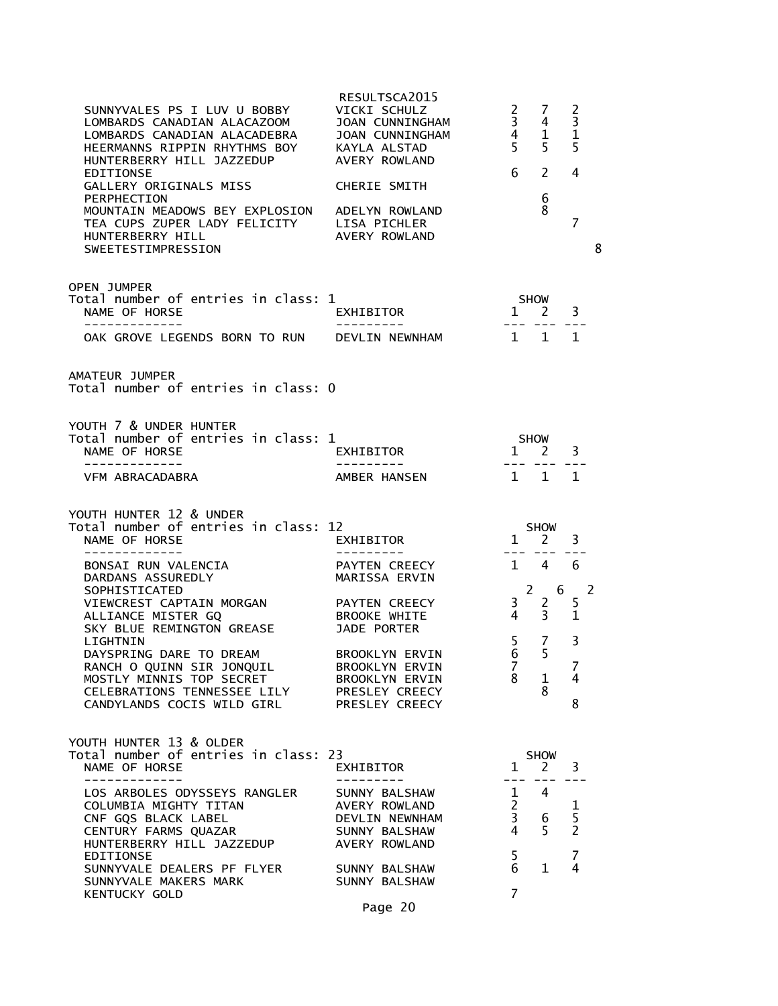| SUNNYVALES PS I LUV U BOBBY<br>LOMBARDS CANADIAN ALACAZOOM     JOAN CUNNINGHAM<br>LOMBARDS CANADIAN ALACADEBRA     JOAN CUNNINGHAM<br>HEERMANNS RIPPIN RHYTHMS BOY     KAYLA ALSTAD<br>HUNTERBERRY HILL JAZZEDUP AVERY ROWLAND<br><b>EDITIONSE</b><br>GALLERY ORIGINALS MISS<br>PERPHECTION<br>MOUNTAIN MEADOWS BEY EXPLOSION ADELYN ROWLAND<br>TEA CUPS ZUPER LADY FELICITY LISA PICHLER<br>HUNTERBERRY HILL<br>SWEETESTIMPRESSION | RESULTSCA2015<br>VICKI SCHULZ<br>CHERIE SMITH<br>AVERY ROWLAND                                                                                                        | $\mathbf{2}$<br>$\begin{array}{ccc} 3 & 4 \\ 4 & 1 \\ 5 & 5 \end{array}$<br>6 | - 7<br>$\mathcal{P}$<br>6<br>8                            | 2<br>$\mathsf 3$<br>$\mathbf{1}$<br>5<br>4<br>$\overline{7}$<br>8      |  |
|-------------------------------------------------------------------------------------------------------------------------------------------------------------------------------------------------------------------------------------------------------------------------------------------------------------------------------------------------------------------------------------------------------------------------------------|-----------------------------------------------------------------------------------------------------------------------------------------------------------------------|-------------------------------------------------------------------------------|-----------------------------------------------------------|------------------------------------------------------------------------|--|
| <b>OPEN JUMPER</b><br>Total number of entries in class: 1<br>NAME OF HORSE<br>--------------<br>OAK GROVE LEGENDS BORN TO RUN DEVLIN NEWNHAM 1 1                                                                                                                                                                                                                                                                                    | .<br>EXHIBITOR                                                                                                                                                        | SHOW<br>1<br>2<br>--- --- ---                                                 |                                                           | 3<br>$\mathbf{1}$                                                      |  |
| AMATEUR JUMPER<br>Total number of entries in class: 0                                                                                                                                                                                                                                                                                                                                                                               |                                                                                                                                                                       |                                                                               |                                                           |                                                                        |  |
| YOUTH 7 & UNDER HUNTER<br>Total number of entries in class: 1<br>NAME OF HORSE<br>VFM ABRACADABRA                                                                                                                                                                                                                                                                                                                                   | .<br>EXHIBITOR<br>AMBER HANSEN                                                                                                                                        | SHOW<br>1 2<br>1 1 1                                                          |                                                           | 3                                                                      |  |
| YOUTH HUNTER 12 & UNDER<br>Total number of entries in class: 12<br>NAME OF HORSE<br>-----------                                                                                                                                                                                                                                                                                                                                     | <i>L</i><br>EXHIBITOR                                                                                                                                                 | $1 \frac{5 \text{m} \cdot \text{m}}{2}$                                       |                                                           | 3                                                                      |  |
| BONSAI RUN VALENCIA<br>DARDANS ASSUREDLY<br>SOPHISTICATED<br>VIEWCREST CAPTAIN MORGAN PAYTEN CREECY<br>ALLIANCE MISTER GQ<br>SKY BLUE REMINGTON GREASE<br>LIGHTNIN<br>DAYSPRING DARE TO DREAM<br>RANCH O QUINN SIR JONQUIL<br>MOSTLY MINNIS TOP SECRET<br>CELEBRATIONS TENNESSEE LILY<br>CANDYLANDS COCIS WILD GIRL                                                                                                                 | PAYTEN CREECY<br>MARISSA ERVIN<br>BROOKE WHITE<br>JADE PORTER<br>BROOKLYN ERVIN<br>BROOKLYN ERVIN<br><b>BROOKLYN ERVIN</b><br>PRESLEY CREECY<br><b>PRESLEY CREECY</b> | $1 \quad 4$<br>$\frac{3}{4}$<br>$4 \quad$<br>5<br>6<br>$\overline{7}$<br>8    | $2 \t 6$<br>$\mathbf{2}$<br>3 <sup>7</sup><br>7<br>1<br>8 | 6<br>$\overline{\phantom{0}}$<br>5<br>$\mathbf{1}$<br>3<br>7<br>4<br>8 |  |
| YOUTH HUNTER 13 & OLDER<br>Total number of entries in class: 23<br>NAME OF HORSE                                                                                                                                                                                                                                                                                                                                                    | EXHIBITOR                                                                                                                                                             | $\mathbf{1}$                                                                  | <b>SHOW</b><br>$\mathbf{2}$                               | 3                                                                      |  |
| LOS ARBOLES ODYSSEYS RANGLER<br>COLUMBIA MIGHTY TITAN<br>CNF GQS BLACK LABEL<br>CENTURY FARMS QUAZAR<br>HUNTERBERRY HILL JAZZEDUP                                                                                                                                                                                                                                                                                                   | SUNNY BALSHAW<br>AVERY ROWLAND<br>DEVLIN NEWNHAM<br>SUNNY BALSHAW<br>AVERY ROWLAND                                                                                    | $- -$<br>1<br>$\overline{2}$<br>3<br>4                                        | 4<br>6<br>5                                               | $\frac{1}{5}$                                                          |  |
| EDITIONSE<br>SUNNYVALE DEALERS PF FLYER<br>SUNNYVALE MAKERS MARK<br><b>KENTUCKY GOLD</b>                                                                                                                                                                                                                                                                                                                                            | SUNNY BALSHAW<br>SUNNY BALSHAW<br>Page 20                                                                                                                             | 5<br>6<br>7                                                                   | $\mathbf{1}$                                              | 7<br>4                                                                 |  |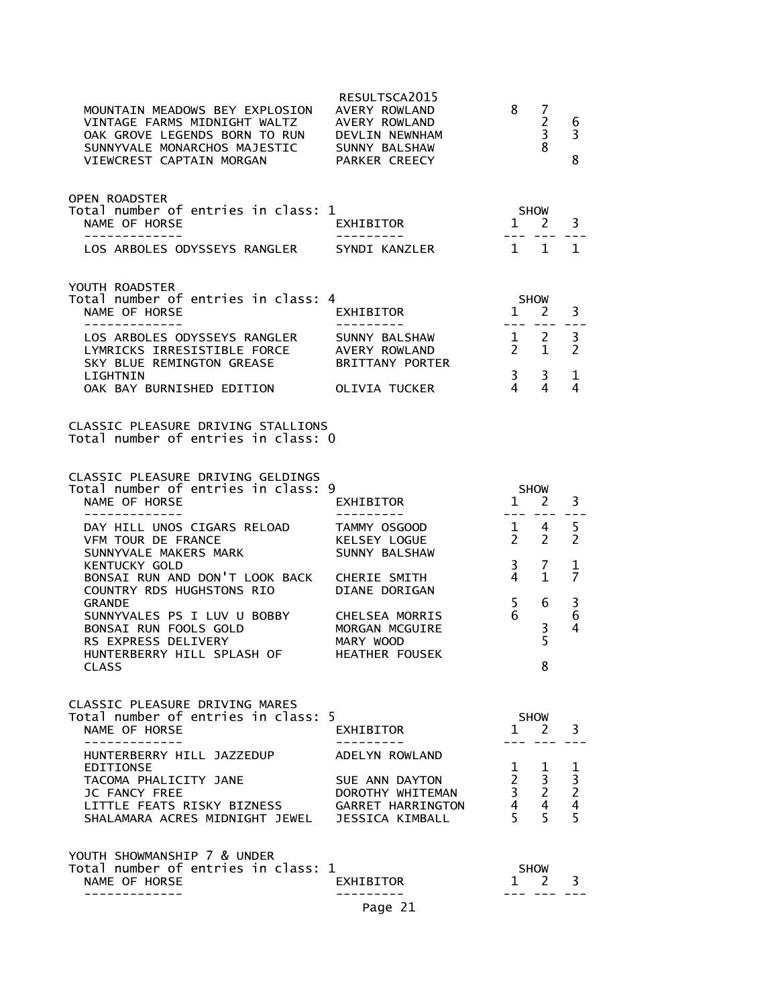| MOUNTAIN MEADOWS BEY EXPLOSION<br>VINTAGE FARMS MIDNIGHT WALTZ<br>OAK GROVE LEGENDS BORN TO RUN DEVLIN NEWNHAM<br>SUNNYVALE MONARCHOS MAJESTIC<br>VIEWCREST CAPTAIN MORGAN | RESULTSCA2015<br>AVERY ROWLAND<br>AVERY ROWLAND<br>SUNNY BALSHAW<br>PARKER CREECY | 8                                                                      | 7<br>$\overline{c}$<br>3<br>8 | 6<br>3<br>8                                     |
|----------------------------------------------------------------------------------------------------------------------------------------------------------------------------|-----------------------------------------------------------------------------------|------------------------------------------------------------------------|-------------------------------|-------------------------------------------------|
| <b>OPEN ROADSTER</b><br>Total number of entries in class: 1<br>NAME OF HORSE<br>-------------                                                                              | EXHIBITOR                                                                         | SHOW<br>$1 \quad 2$                                                    |                               | 3                                               |
| LOS ARBOLES ODYSSEYS RANGLER SYNDI KANZLER                                                                                                                                 |                                                                                   | 1 1                                                                    |                               | 1                                               |
| YOUTH ROADSTER<br>Total number of entries in class: 4<br>NAME OF HORSE<br>-------------                                                                                    | EXHIBITOR                                                                         | $1^{1}$ 2                                                              | <b>SHOW</b>                   | 3<br>$-  -$                                     |
| LOS ARBOLES ODYSSEYS RANGLER<br>LYMRICKS IRRESISTIBLE FORCE<br>SKY BLUE REMINGTON GREASE                                                                                   | SUNNY BALSHAW<br>AVERY ROWLAND<br><b>BRITTANY PORTER</b>                          | $\frac{1}{2}$ $\frac{2}{5}$<br>$2^{\circ}$                             | $\mathbf{1}$                  | 3<br>$\overline{2}$                             |
| LIGHTNIN<br>OAK BAY BURNISHED EDITION                                                                                                                                      | OLIVIA TUCKER                                                                     | $\frac{3}{2}$<br>$\overline{4}$                                        | 3<br>4                        | 1<br>4                                          |
| CLASSIC PLEASURE DRIVING STALLIONS<br>Total number of entries in class: 0                                                                                                  |                                                                                   |                                                                        |                               |                                                 |
| CLASSIC PLEASURE DRIVING GELDINGS<br>Total number of entries in class: 9<br>NAME OF HORSE<br>-------------                                                                 | EXHIBITOR<br>---------                                                            | 1 2<br>$   \,$                                                         | <b>SHOW</b>                   | 3                                               |
| DAY HILL UNOS CIGARS RELOAD<br>VFM TOUR DE FRANCE<br>SUNNYVALE MAKERS MARK                                                                                                 | TAMMY OSGOOD<br>KELSEY LOGUE<br>SUNNY BALSHAW                                     | $1 \quad 4$<br>$2^{\circ}$<br>$\overline{3}$                           | $\overline{2}$<br>7           | 5<br>2                                          |
| <b>KENTUCKY GOLD</b><br>BONSAI RUN AND DON'T LOOK BACK<br>COUNTRY RDS HUGHSTONS RIO<br><b>GRANDE</b>                                                                       | CHERIE SMITH<br><b>DIANE DORIGAN</b>                                              | 4<br>5                                                                 | 1.<br>6                       | 1<br>7<br>3                                     |
| SUNNYVALES PS I LUV U BOBBY<br>BONSAI RUN FOOLS GOLD<br>RS EXPRESS DELIVERY<br>HUNTERBERRY HILL SPLASH OF                                                                  | <b>CHELSEA MORRIS</b><br>MORGAN MCGUIRE<br>MARY WOOD<br><b>HEATHER FOUSEK</b>     | 6                                                                      | $\frac{3}{5}$                 | 6<br>4                                          |
| <b>CLASS</b>                                                                                                                                                               |                                                                                   |                                                                        | ჾ                             |                                                 |
| CLASSIC PLEASURE DRIVING MARES<br>Total number of entries in class: 5<br>NAME OF HORSE                                                                                     | EXHIBITOR                                                                         |                                                                        | SHOW<br>$1 \quad 2$           | 3                                               |
| HUNTERBERRY HILL JAZZEDUP<br>EDITIONSE<br>TACOMA PHALICITY JANE<br>JC FANCY FREE<br>LITTLE FEATS RISKY BIZNESS<br>SHALAMARA ACRES MIDNIGHT JEWEL JESSICA KIMBALL           | ADELYN ROWLAND<br>SUE ANN DAYTON<br>DOROTHY WHITEMAN<br>GARRET HARRINGTON         | 1<br>$\begin{array}{ccc} 2 & 3 \\ 3 & 2 \\ 4 & 4 \\ 5 & 5 \end{array}$ | $\mathbf{1}$                  | $\frac{1}{3}$<br>$\frac{2}{4}$<br>$\frac{4}{5}$ |
| YOUTH SHOWMANSHIP 7 & UNDER<br>Total number of entries in class: 1<br>NAME OF HORSE                                                                                        | EXHIBITOR                                                                         |                                                                        | SHOW<br>$1 \quad 2$           | 3                                               |
|                                                                                                                                                                            | Page 21                                                                           |                                                                        |                               |                                                 |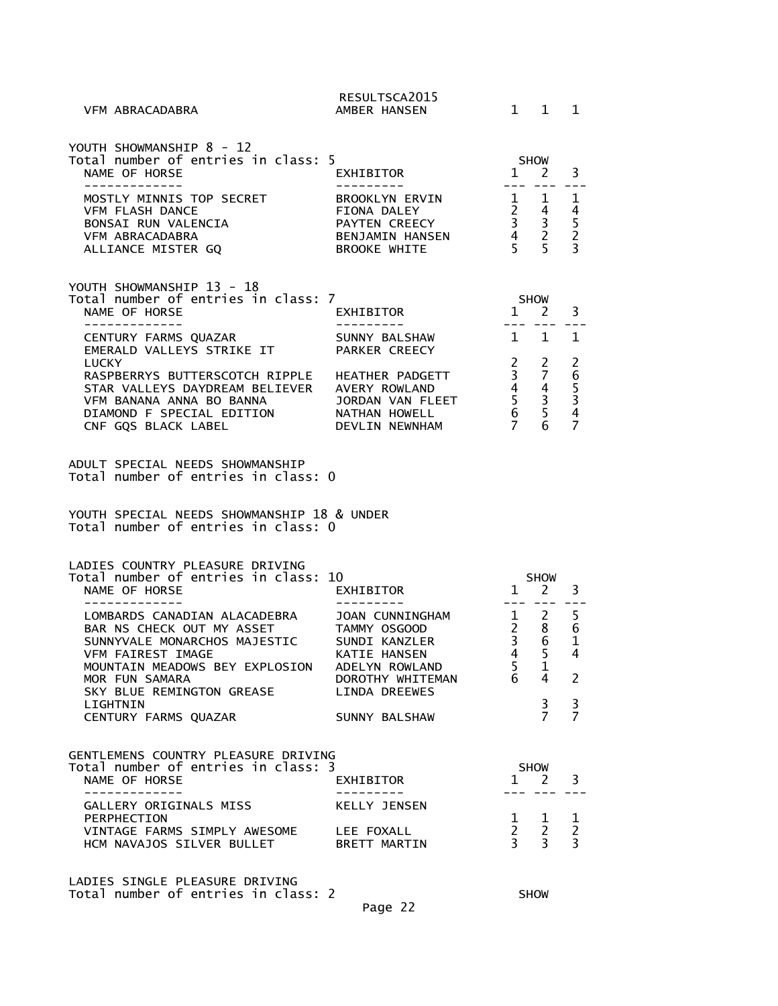| LADIES SINGLE PLEASURE DRIVING<br>Total number of entries in class: 2                                                                                                                                                                                  |                                                                                   |                                                                                                              | SHOW                                                                 |                                                                   |
|--------------------------------------------------------------------------------------------------------------------------------------------------------------------------------------------------------------------------------------------------------|-----------------------------------------------------------------------------------|--------------------------------------------------------------------------------------------------------------|----------------------------------------------------------------------|-------------------------------------------------------------------|
| PERPHECTION<br>VINTAGE FARMS SIMPLY AWESOME LEE FOXALL<br>HCM NAVAJOS SILVER BULLET BRETT MARTIN                                                                                                                                                       |                                                                                   | $\mathbf{1}$<br>$2^{\circ}$<br>3 <sup>7</sup>                                                                | $\mathbf{1}$<br>$\overline{2}$<br>$\overline{3}$                     | 1<br>$\overline{c}$<br>$\overline{3}$                             |
| -------------<br>GALLERY ORIGINALS MISS                                                                                                                                                                                                                | - - - - - - - -<br>KELLY JENSEN                                                   |                                                                                                              |                                                                      |                                                                   |
| GENTLEMENS COUNTRY PLEASURE DRIVING<br>Total number of entries in class: 3<br>NAME OF HORSE                                                                                                                                                            | EXHIBITOR                                                                         | $\mathbf{1}$                                                                                                 | <b>SHOW</b><br>$\overline{2}$                                        | 3                                                                 |
| CENTURY FARMS QUAZAR                                                                                                                                                                                                                                   | SUNNY BALSHAW                                                                     |                                                                                                              | $\overline{7}$                                                       | $\overline{7}$                                                    |
| LOMBARDS CANADIAN ALACADEBRA JOAN CUNNINGHAM<br>BAR NS CHECK OUT MY ASSET TAMMY OSGOOD<br>SUNNYVALE MONARCHOS MAJESTIC SUNDI KANZLER<br>VFM FAIREST IMAGE<br>MOUNTAIN MEADOWS BEY EXPLOSION<br>MOR FUN SAMARA<br>SKY BLUE REMINGTON GREASE<br>LIGHTNIN | KATIE HANSEN<br>ADELYN ROWLAND<br>DOROTHY WHITEMAN<br>LINDA DREEWES               | $1 \quad$<br>$\frac{2}{3}$<br>$\overline{4}$<br>5<br>6                                                       | $2^{\circ}$<br>8<br>6<br>5<br>$\mathbf 1$<br>4<br>3                  | 5<br>$\boldsymbol{6}$<br>$\mathbf{1}$<br>4<br>2<br>3              |
| LADIES COUNTRY PLEASURE DRIVING<br>Total number of entries in class: 10<br>NAME OF HORSE<br>-------------                                                                                                                                              | EXHIBITOR                                                                         | $\mathbf{1}$<br>$- - -$                                                                                      | <b>SHOW</b><br>2                                                     | 3                                                                 |
| ADULT SPECIAL NEEDS SHOWMANSHIP<br>Total number of entries in class: 0<br>YOUTH SPECIAL NEEDS SHOWMANSHIP 18 & UNDER<br>Total number of entries in class: 0                                                                                            |                                                                                   |                                                                                                              |                                                                      |                                                                   |
| <b>LUCKY</b><br>RASPBERRYS BUTTERSCOTCH RIPPLE HEATHER PADGETT<br>STAR VALLEYS DAYDREAM BELIEVER AVERY ROWLAND<br>VFM BANANA ANNA BO BANNA<br>DIAMOND F SPECIAL EDITION<br>CNF GQS BLACK LABEL                                                         | JORDAN VAN FLEET<br>NATHAN HOWELL<br>DEVLIN NEWNHAM                               | $\mathbf{2}$<br>$\overline{\mathbf{3}}$<br>$\begin{array}{ccc} 4 & 4 \\ 5 & 3 \\ 6 & 5 \\ 7 & 6 \end{array}$ | 2<br>$\overline{7}$                                                  | 265347                                                            |
| CENTURY FARMS QUAZAR<br>EMERALD VALLEYS STRIKE IT                                                                                                                                                                                                      | SUNNY BALSHAW<br>PARKER CREECY                                                    | $1 \quad 1$                                                                                                  |                                                                      | $\mathbf{1}$                                                      |
| YOUTH SHOWMANSHIP 13 - 18<br>Total number of entries in class: 7<br>NAME OF HORSE<br>-------------                                                                                                                                                     | EXHIBITOR                                                                         | SHOW                                                                                                         | $1 \quad 2$                                                          | 3                                                                 |
| MOSTLY MINNIS TOP SECRET<br><b>VFM FLASH DANCE</b><br>BONSAI RUN VALENCIA<br>VFM ABRACADABRA<br>ALLIANCE MISTER GQ                                                                                                                                     | BROOKLYN ERVIN<br>FIONA DALEY<br>PAYTEN CREECY<br>BENJAMIN HANSEN<br>BROOKE WHITE | 5 <sup>7</sup>                                                                                               | 1 1<br>$\begin{array}{ccc} 2 & 4 \\ 3 & 3 \\ 4 & 2 \end{array}$<br>5 | 1<br>$\begin{array}{c} 4 \\ 5 \\ 2 \end{array}$<br>$\overline{3}$ |
| YOUTH SHOWMANSHIP 8 - 12<br>Total number of entries in class: 5<br>NAME OF HORSE<br>-------------                                                                                                                                                      | EXHIBITOR                                                                         | SHOW<br>$\mathbf{1}$                                                                                         | <sup>2</sup>                                                         | 3                                                                 |
| VFM ABRACADABRA                                                                                                                                                                                                                                        | RESULTSCA2015<br>AMBER HANSEN                                                     |                                                                                                              | $1 \quad 1$                                                          | $\mathbf{1}$                                                      |

Page 22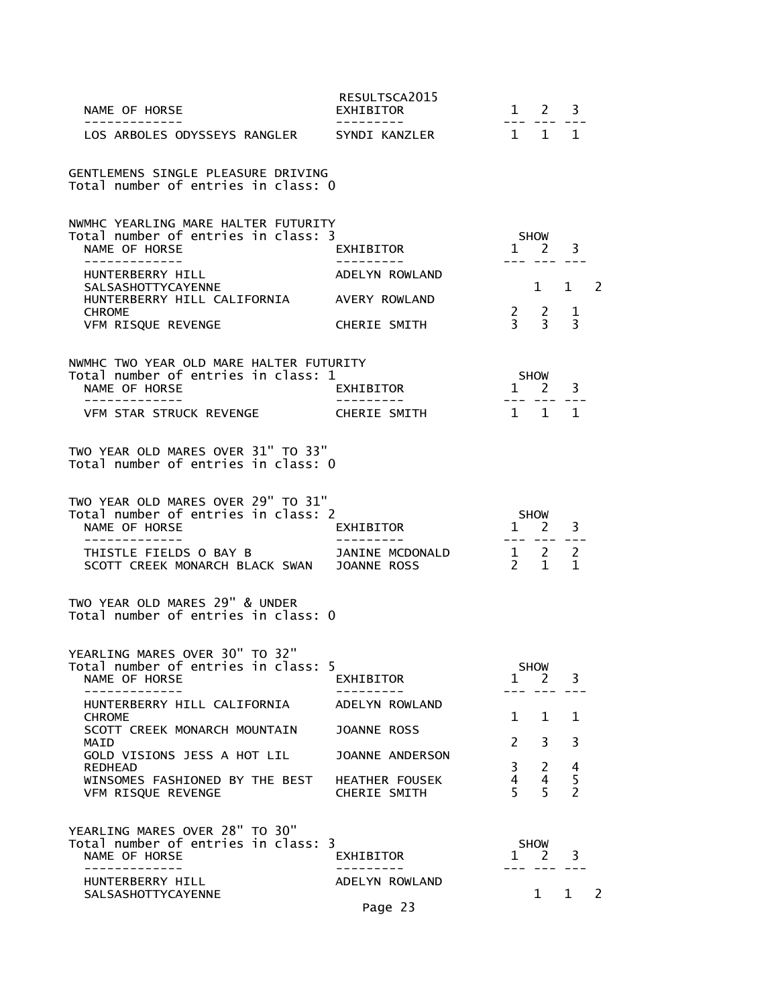| NAME OF HORSE<br>--------------                                                                                                                                                                                           | RESULTSCA2015<br>EXHIBITOR                              | $1 \quad 2$<br>3<br>$- - -$                                                                                         |
|---------------------------------------------------------------------------------------------------------------------------------------------------------------------------------------------------------------------------|---------------------------------------------------------|---------------------------------------------------------------------------------------------------------------------|
| LOS ARBOLES ODYSSEYS RANGLER SYNDI KANZLER                                                                                                                                                                                |                                                         | $1 \quad 1 \quad 1$                                                                                                 |
| GENTLEMENS SINGLE PLEASURE DRIVING<br>Total number of entries in class: 0                                                                                                                                                 |                                                         |                                                                                                                     |
| NWMHC YEARLING MARE HALTER FUTURITY<br>Total number of entries in class: 3<br>NAME OF HORSE<br>HUNTERBERRY HILL<br>SALSASHOTTYCAYENNE<br>HUNTERBERRY HILL CALIFORNIA AVERY ROWLAND<br><b>CHROME</b><br>VFM RISQUE REVENGE | EXHIBITOR<br>ADELYN ROWLAND<br><b>CHERIE SMITH</b>      | SHOW<br>$1 \t2 \t3$<br>--- --- ---<br>1 1 2<br>$\begin{array}{ccc} 2 & 2 \\ 3 & 3 \end{array}$<br>$\mathbf{1}$<br>3 |
| NWMHC TWO YEAR OLD MARE HALTER FUTURITY<br>Total number of entries in class: 1<br>NAME OF HORSE<br>-----------<br>VFM STAR STRUCK REVENGE CHERIE SMITH                                                                    | EXHIBITOR<br>---------                                  | SHOW<br>$1$ <sup>311</sup> $\sim$ 1<br>--- --- ---<br>$\mathbf{1}$<br>$1 \quad 1$                                   |
| TWO YEAR OLD MARES OVER 31" TO 33"<br>Total number of entries in class: 0                                                                                                                                                 |                                                         |                                                                                                                     |
| TWO YEAR OLD MARES OVER 29" TO 31"<br>Total number of entries in class: 2<br>NAME OF HORSE<br>------------<br>SCOTT CREEK MONARCH BLACK SWAN JOANNE ROSS                                                                  | EXHIBITOR                                               | <b>SHOW</b><br>$1 \quad 2$<br>3<br>--- --- ---                                                                      |
| TWO YEAR OLD MARES 29" & UNDER<br>Total number of entries in class: 0                                                                                                                                                     |                                                         |                                                                                                                     |
| YEARLING MARES OVER 30" TO 32"<br>Total number of entries in class: 5<br>NAME OF HORSE                                                                                                                                    | EXHIBITOR                                               | <b>SHOW</b><br>3<br>$\mathbf{1}$<br>2                                                                               |
| HUNTERBERRY HILL CALIFORNIA<br><b>CHROME</b><br>SCOTT CREEK MONARCH MOUNTAIN<br>MAID<br>GOLD VISIONS JESS A HOT LIL                                                                                                       | ADELYN ROWLAND<br><b>JOANNE ROSS</b><br>JOANNE ANDERSON | 1<br>$\mathbf{1}$<br>1<br>$\mathcal{P}$<br>3<br>3                                                                   |
| REDHEAD<br>WINSOMES FASHIONED BY THE BEST<br>VFM RISQUE REVENGE                                                                                                                                                           | HEATHER FOUSEK<br>CHERIE SMITH                          | 3<br>2<br>4<br>5<br>4<br>4<br>$\overline{2}$<br>5<br>5                                                              |
| YEARLING MARES OVER 28" TO 30"<br>Total number of entries in class: 3<br>NAME OF HORSE<br>-------------                                                                                                                   | EXHIBITOR                                               | <b>SHOW</b><br>3<br>$\mathbf{1}$<br>$\mathbf{Z}$                                                                    |
| HUNTERBERRY HILL<br>SALSASHOTTYCAYENNE                                                                                                                                                                                    | ADELYN ROWLAND<br>Page 23                               | 1<br>2<br>1                                                                                                         |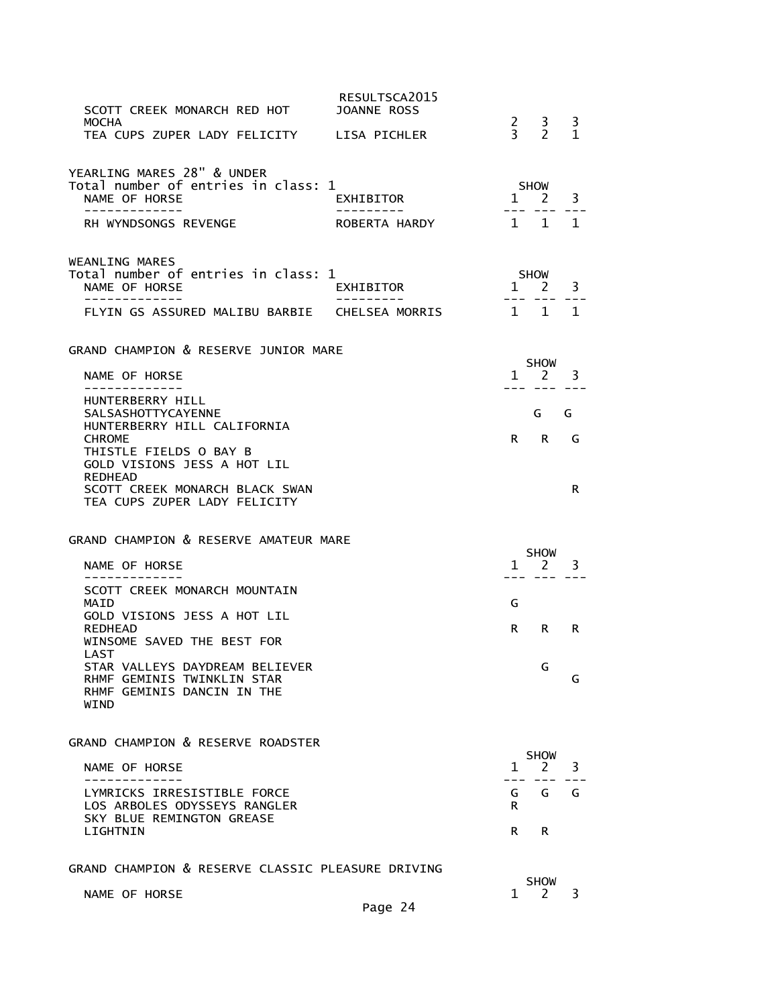| SCOTT CREEK MONARCH RED HOT<br><b>MOCHA</b>                                                                                                                              | RESULTSCA2015<br>JOANNE ROSS |                                                |                          |
|--------------------------------------------------------------------------------------------------------------------------------------------------------------------------|------------------------------|------------------------------------------------|--------------------------|
| TEA CUPS ZUPER LADY FELICITY LISA PICHLER                                                                                                                                |                              | $\begin{array}{cc} 2 & 3 \\ 3 & 2 \end{array}$ | $\frac{3}{1}$            |
| YEARLING MARES 28" & UNDER<br>Total number of entries in class: 1<br>NAME OF HORSE<br>-------------                                                                      | EXHIBITOR<br>----------      | SHOW<br>$1\overline{2}$<br>--- ---             | 3<br>---                 |
| RH WYNDSONGS REVENGE                                                                                                                                                     | ROBERTA HARDY                |                                                | $1 \quad 1 \quad 1$      |
| <b>WEANLING MARES</b><br>Total number of entries in class: 1<br>NAME OF HORSE<br>-------------                                                                           | EXHIBITOR<br>----------      | SHOW<br>$\mathbf{1}$                           | 3<br>$\overline{2}$      |
| FLYIN GS ASSURED MALIBU BARBIE CHELSEA MORRIS                                                                                                                            |                              |                                                | 1 1 1                    |
| GRAND CHAMPION & RESERVE JUNIOR MARE<br>NAME OF HORSE<br>-------------                                                                                                   |                              | $1 \quad 2$                                    | SHOW<br>3<br>--- --- --- |
| HUNTERBERRY HILL<br><b>SALSASHOTTYCAYENNE</b><br>HUNTERBERRY HILL CALIFORNIA<br><b>CHROME</b><br>THISTLE FIELDS O BAY B<br>GOLD VISIONS JESS A HOT LIL<br><b>REDHEAD</b> |                              | R.                                             | G<br>G<br>R<br>G         |
| SCOTT CREEK MONARCH BLACK SWAN<br>TEA CUPS ZUPER LADY FELICITY                                                                                                           |                              |                                                | R                        |
| GRAND CHAMPION & RESERVE AMATEUR MARE                                                                                                                                    |                              |                                                |                          |
| NAME OF HORSE                                                                                                                                                            |                              | $1 \quad 2$<br>--- ---                         | <b>SHOW</b><br>3         |
| SCOTT CREEK MONARCH MOUNTAIN<br>MAID                                                                                                                                     |                              | G                                              |                          |
| GOLD VISIONS JESS A HOT LIL<br>REDHEAD<br>WINSOME SAVED THE BEST FOR                                                                                                     |                              | R                                              | R.<br>R                  |
| LAST<br>STAR VALLEYS DAYDREAM BELIEVER<br>RHMF GEMINIS TWINKLIN STAR<br>RHMF GEMINIS DANCIN IN THE<br>WIND                                                               |                              |                                                | G<br>G                   |
| GRAND CHAMPION & RESERVE ROADSTER                                                                                                                                        |                              |                                                | <b>SHOW</b>              |
| NAME OF HORSE                                                                                                                                                            |                              | 1                                              | 2<br>3                   |
| LYMRICKS IRRESISTIBLE FORCE<br>LOS ARBOLES ODYSSEYS RANGLER<br>SKY BLUE REMINGTON GREASE                                                                                 |                              | G<br>R.                                        | G<br>G                   |
| LIGHTNIN                                                                                                                                                                 |                              | R                                              | R                        |
| GRAND CHAMPION & RESERVE CLASSIC PLEASURE DRIVING                                                                                                                        |                              | <b>SHOW</b>                                    |                          |
| NAME OF HORSE                                                                                                                                                            |                              |                                                |                          |